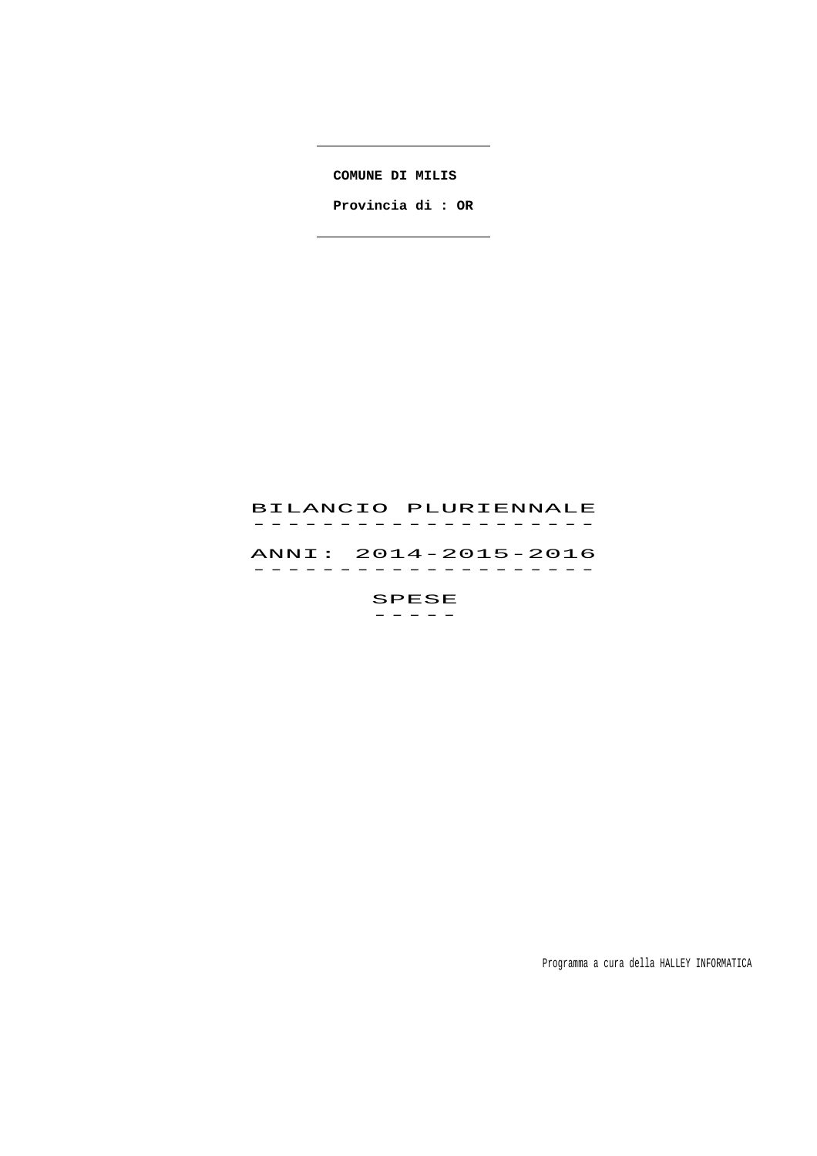**COMUNE DI MILIS** 

 **Provincia di : OR**

 $\sim$  . The contract of the contract of  $\sim$ 

# BILANCIO PLURIENNALE -------------------<br>BILANCIO PLURIENNALE ANNI: 2014-2015-2016 ANNI: 2014–2015–2016<br>------------------SPESE

 $-$ 

Programma a cura della HALLEY INFORMATICA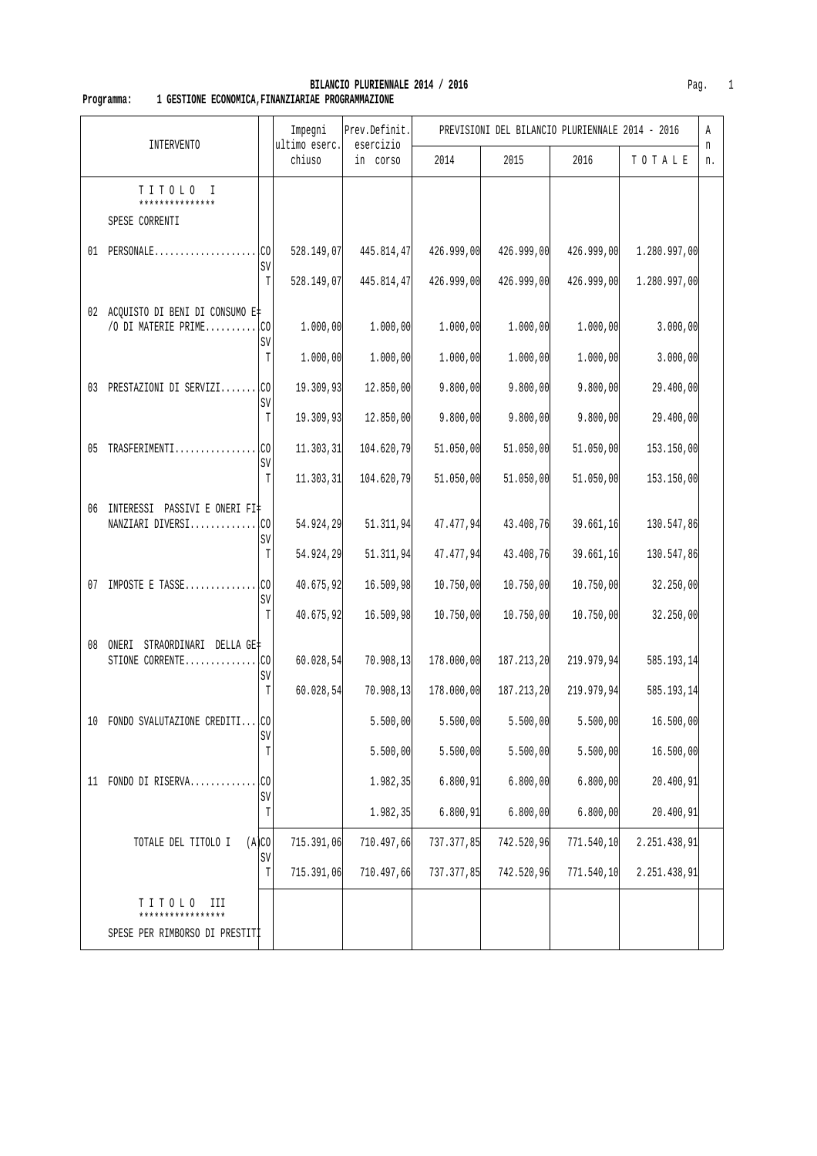|    |                                                          |                   | Impegni<br>ultimo eserc. | Prev.Definit.<br>esercizio |            | PREVISIONI DEL BILANCIO PLURIENNALE 2014 - 2016 |            |              | Α       |
|----|----------------------------------------------------------|-------------------|--------------------------|----------------------------|------------|-------------------------------------------------|------------|--------------|---------|
|    | INTERVENTO                                               |                   | chiuso                   | in corso                   | 2014       | 2015                                            | 2016       | TOTALE       | n<br>n. |
|    | TITOLO<br>T<br>***************<br>SPESE CORRENTI         |                   |                          |                            |            |                                                 |            |              |         |
|    | $01$ PERSONALE                                           | .co<br>SV         | 528.149,07               | 445.814,47                 | 426.999,00 | 426.999,00                                      | 426.999,00 | 1.280.997,00 |         |
|    |                                                          | T                 | 528.149,07               | 445.814,47                 | 426.999,00 | 426.999,00                                      | 426.999,00 | 1.280.997,00 |         |
|    | 02 ACQUISTO DI BENI DI CONSUMO E#<br>/O DI MATERIE PRIME | I.CO<br>SV        | 1.000,00                 | 1.000,00                   | 1.000,00   | 1.000,00                                        | 1.000,00   | 3.000,00     |         |
|    |                                                          | T                 | 1.000,00                 | 1.000,00                   | 1.000,00   | 1.000,00                                        | 1.000,00   | 3.000,00     |         |
|    | 03 PRESTAZIONI DI SERVIZI CO                             | SV                | 19.309,93                | 12.850,00                  | 9.800,00   | 9.800,00                                        | 9.800,00   | 29.400,00    |         |
|    |                                                          | T                 | 19.309,93                | 12.850,00                  | 9.800,00   | 9.800,00                                        | 9.800,00   | 29.400,00    |         |
| 05 | TRASFERIMENTI                                            | lco<br>SV         | 11.303, 31               | 104.620,79                 | 51.050,00  | 51.050,00                                       | 51.050,00  | 153.150,00   |         |
|    |                                                          | T                 | 11.303,31                | 104.620,79                 | 51.050,00  | 51.050,00                                       | 51.050,00  | 153.150,00   |         |
| 06 | INTERESSI PASSIVI E ONERI FI‡<br>NANZIARI DIVERSI        | .co<br>SV         | 54.924,29                | 51.311,94                  | 47.477,94  | 43.408,76                                       | 39.661,16  | 130.547,86   |         |
|    |                                                          | T                 | 54.924,29                | 51.311,94                  | 47.477,94  | 43.408,76                                       | 39.661,16  | 130.547,86   |         |
| 07 | IMPOSTE E TASSE                                          | <b>I</b> CO<br>SV | 40.675,92                | 16.509,98                  | 10.750,00  | 10.750,00                                       | 10.750,00  | 32.250,00    |         |
|    |                                                          | T                 | 40.675,92                | 16.509,98                  | 10.750,00  | 10.750,00                                       | 10.750,00  | 32.250,00    |         |
| 08 | STRAORDINARI DELLA GE‡<br>ONERI<br>STIONE CORRENTE       | lco<br>SV         | 60.028, 54               | 70.908,13                  | 178.000,00 | 187.213,20                                      | 219.979,94 | 585.193,14   |         |
|    |                                                          | T                 | 60.028, 54               | 70.908, 13                 | 178.000,00 | 187.213,20                                      | 219.979,94 | 585.193,14   |         |
|    | 10 FONDO SVALUTAZIONE CREDITI CO                         | SV                |                          | 5.500,00                   | 5.500,00   | 5.500,00                                        | 5.500,00   | 16.500,00    |         |
|    |                                                          | T                 |                          | 5.500,00                   | 5.500,00   | 5.500,00                                        | 5.500,00   | 16.500,00    |         |
|    | 11 FONDO DI RISERVA                                      | lco<br>SV         |                          | 1.982,35                   | 6.800,91   | 6.800,00                                        | 6.800,00   | 20.400,91    |         |
|    |                                                          | T                 |                          | 1.982,35                   | 6.800,91   | 6.800,00                                        | 6.800,00   | 20.400,91    |         |
|    | TOTALE DEL TITOLO I                                      | (A)CO<br>SV       | 715.391,06               | 710.497,66                 | 737.377,85 | 742.520,96                                      | 771.540,10 | 2.251.438,91 |         |
|    |                                                          | T                 | 715.391,06               | 710.497,66                 | 737.377,85 | 742.520,96                                      | 771.540,10 | 2.251.438,91 |         |
|    | TITOLO<br>ИI<br>*****************                        |                   |                          |                            |            |                                                 |            |              |         |
|    | SPESE PER RIMBORSO DI PRESTITI                           |                   |                          |                            |            |                                                 |            |              |         |

**BILANCIO PLURIENNALE 2014 / 2016 Pag.** 1  **Programma: 1 GESTIONE ECONOMICA,FINANZIARIAE PROGRAMMAZIONE**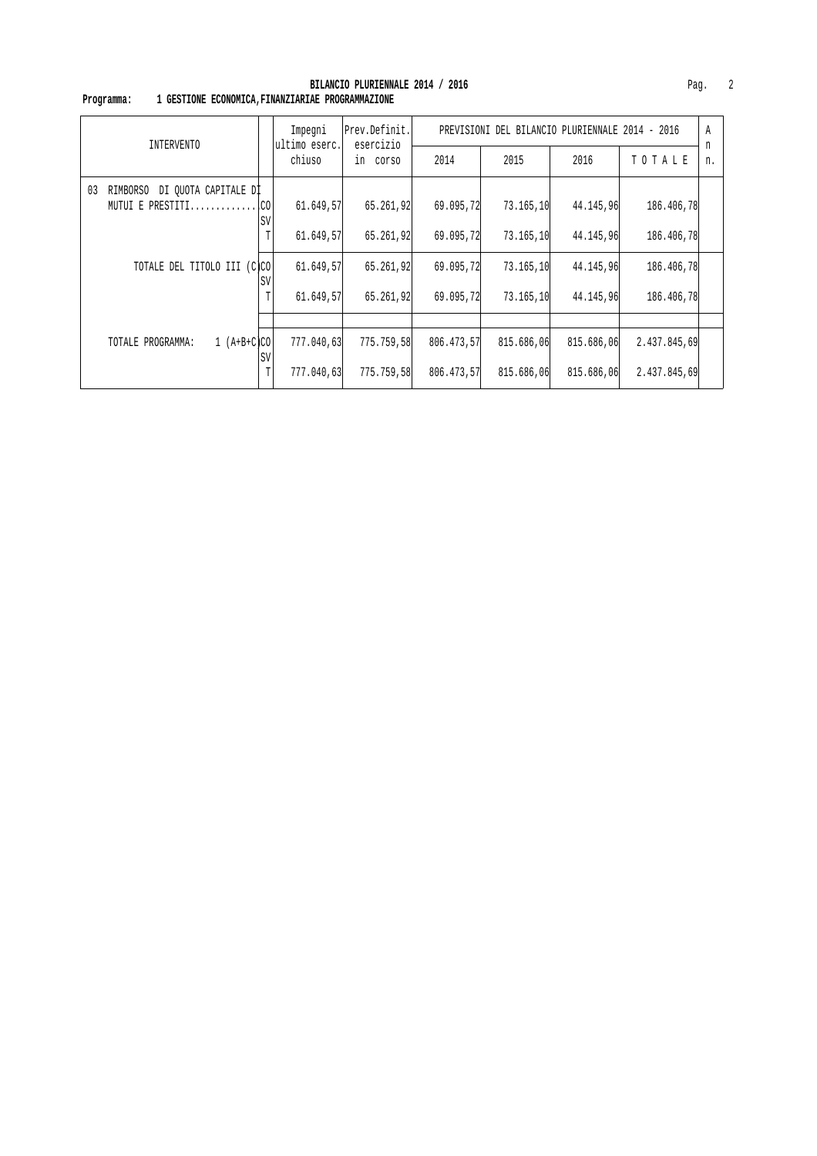| INTERVENTO                             |      | Impegni<br>ultimo eserc. | Prev.Definit.<br>esercizio |            | PREVISIONI DEL BILANCIO PLURIENNALE 2014 - 2016 |            |              | Α       |
|----------------------------------------|------|--------------------------|----------------------------|------------|-------------------------------------------------|------------|--------------|---------|
|                                        |      | chiuso                   | in corso                   | 2014       | 2015                                            | 2016       | TOTALE       | n<br>n. |
| 03<br>DI OUOTA CAPITALE DI<br>RIMBORSO |      |                          |                            |            |                                                 |            |              |         |
| MUTUI E PRESTITI $ CO $                | SV   | 61.649,57                | 65.261,92                  | 69.095,72  | 73.165,10                                       | 44.145,96  | 186.406,78   |         |
|                                        |      | 61.649,57                | 65.261,92                  | 69.095,72  | 73.165,10                                       | 44.145.96  | 186.406,78   |         |
| TOTALE DEL TITOLO III (C)CO            | SV   | 61.649,57                | 65.261,92                  | 69.095,72  | 73.165,10                                       | 44.145,96  | 186.406,78   |         |
|                                        | T    | 61.649,57                | 65.261,92                  | 69.095,72  | 73.165,10                                       | 44.145,96  | 186.406,78   |         |
|                                        |      |                          |                            |            |                                                 |            |              |         |
| $1 (A+B+C)CO$<br>TOTALE PROGRAMMA:     | . SV | 777.040,63               | 775.759,58                 | 806.473,57 | 815.686,06                                      | 815.686,06 | 2.437.845,69 |         |
|                                        | T    | 777.040,63               | 775.759,58                 | 806.473,57 | 815.686,06                                      | 815.686,06 | 2.437.845,69 |         |

#### **BILANCIO PLURIENNALE 2014 / 2016** Pag. 2  **Programma: 1 GESTIONE ECONOMICA,FINANZIARIAE PROGRAMMAZIONE**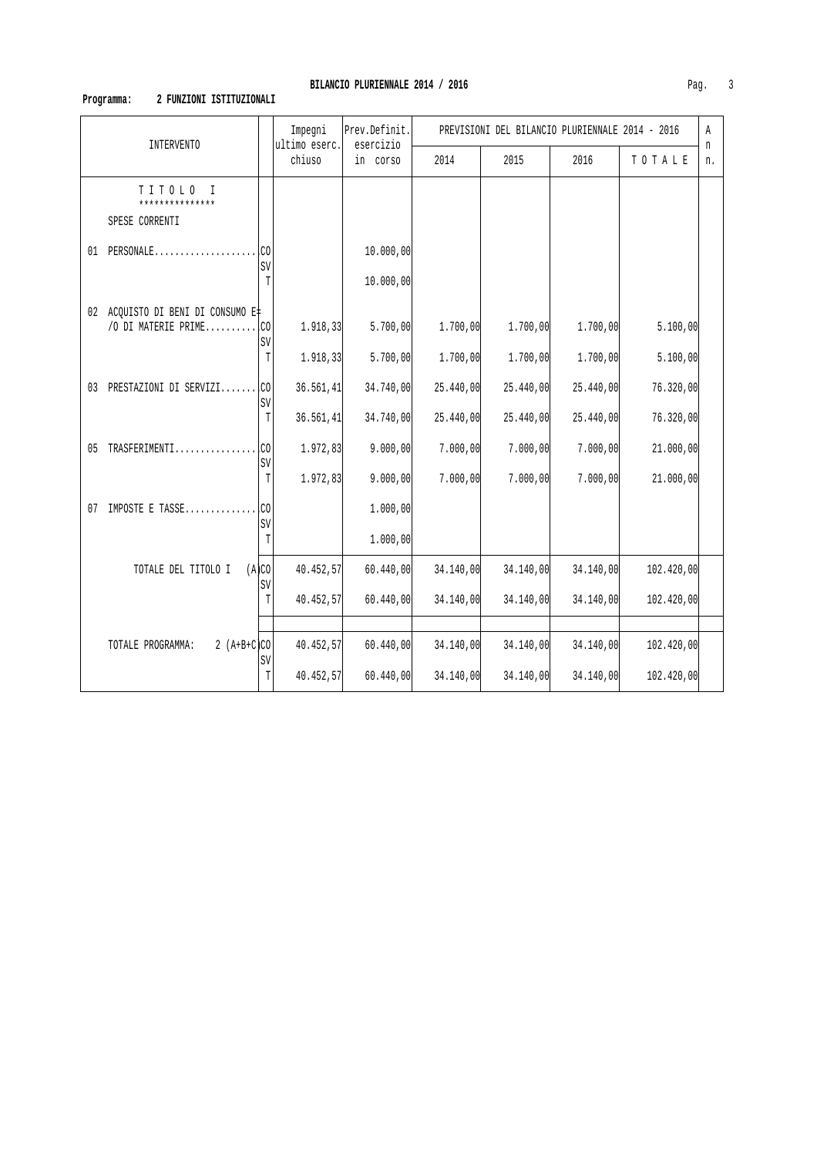# **Programma: 2 FUNZIONI ISTITUZIONALI**

| <b>INTERVENTO</b>                                        |             | Impegni<br>ultimo eserc. | Prev.Definit.<br>esercizio |           | PREVISIONI DEL BILANCIO PLURIENNALE 2014 - 2016 |           |            | Α       |
|----------------------------------------------------------|-------------|--------------------------|----------------------------|-----------|-------------------------------------------------|-----------|------------|---------|
|                                                          |             | chiuso                   | in corso                   | 2014      | 2015                                            | 2016      | TOTALE     | n<br>n. |
| TITOLO<br>T<br>***************<br>SPESE CORRENTI         |             |                          |                            |           |                                                 |           |            |         |
| $01$ PERSONALE                                           | .CO<br>SV   |                          | 10.000,00                  |           |                                                 |           |            |         |
|                                                          | T           |                          | 10.000,00                  |           |                                                 |           |            |         |
| 02 ACQUISTO DI BENI DI CONSUMO E‡<br>/O DI MATERIE PRIME | .co         | 1.918,33                 | 5.700,00                   | 1.700,00  | 1.700,00                                        | 1.700,00  | 5.100,00   |         |
|                                                          | SV<br>T     | 1.918,33                 | 5.700,00                   | 1.700,00  | 1.700,00                                        | 1.700,00  | 5.100,00   |         |
| 03 PRESTAZIONI DI SERVIZI                                | LCO<br>SV   | 36.561,41                | 34.740,00                  | 25.440,00 | 25.440,00                                       | 25.440,00 | 76.320,00  |         |
|                                                          | $\mathbb T$ | 36.561,41                | 34.740,00                  | 25.440,00 | 25.440,00                                       | 25.440,00 | 76.320,00  |         |
| 05 TRASFERIMENTI                                         | .co<br>SV   | 1.972,83                 | 9.000,00                   | 7.000,00  | 7.000,00                                        | 7.000,00  | 21.000,00  |         |
|                                                          | T           | 1.972,83                 | 9.000,00                   | 7.000,00  | 7.000,00                                        | 7.000,00  | 21.000,00  |         |
| IMPOSTE E TASSE<br>07                                    | CO.<br>SV   |                          | 1.000,00                   |           |                                                 |           |            |         |
|                                                          | T           |                          | 1.000,00                   |           |                                                 |           |            |         |
| TOTALE DEL TITOLO I                                      | (A)CO<br>SV | 40.452,57                | 60.440,00                  | 34.140,00 | 34.140,00                                       | 34.140,00 | 102.420,00 |         |
|                                                          | T           | 40.452,57                | 60.440,00                  | 34.140,00 | 34.140,00                                       | 34.140,00 | 102.420,00 |         |
|                                                          |             |                          |                            |           |                                                 |           |            |         |
| TOTALE PROGRAMMA:<br>2 $(A+B+C)CO$                       | SV          | 40.452,57                | 60.440,00                  | 34.140,00 | 34.140,00                                       | 34.140,00 | 102.420,00 |         |
|                                                          | T           | 40.452,57                | 60.440,00                  | 34.140,00 | 34.140,00                                       | 34.140,00 | 102.420,00 |         |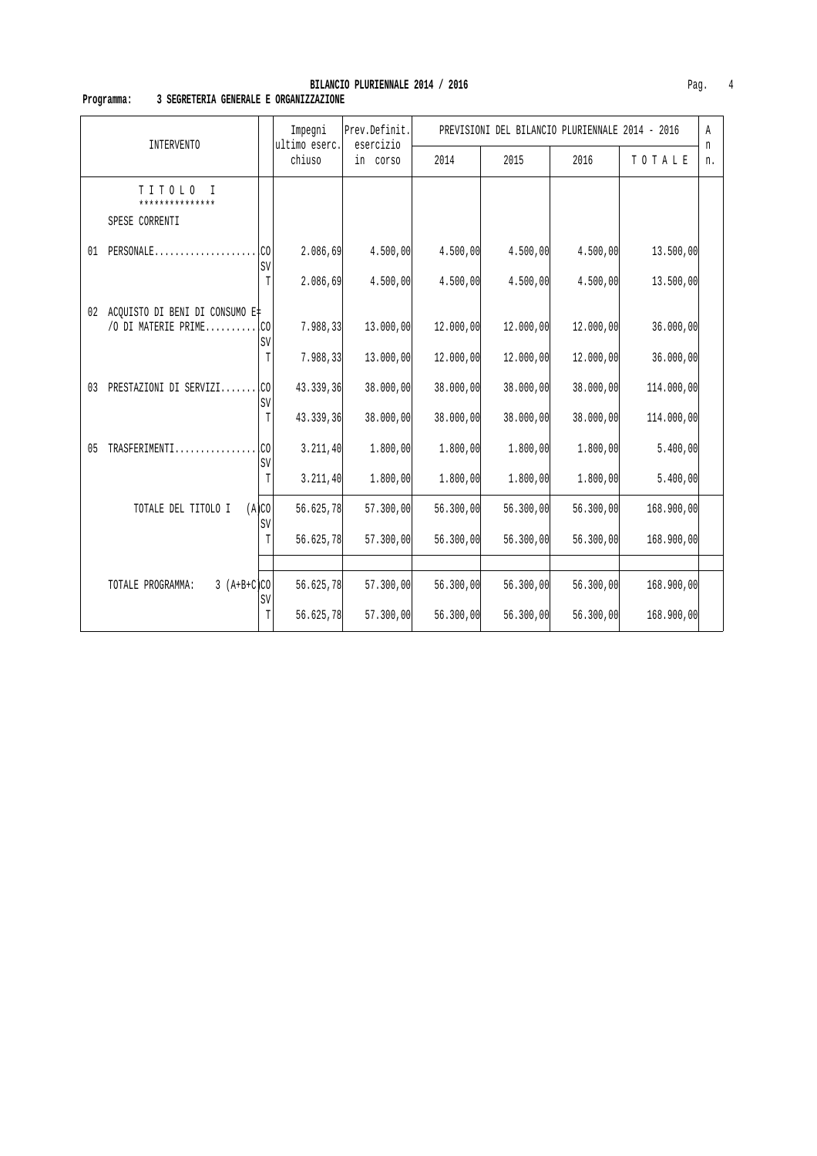#### **Programma: 3 SEGRETERIA GENERALE E ORGANIZZAZIONE**

|                                                            |             | Impegni                 | Prev.Definit.<br>esercizio |           |            | PREVISIONI DEL BILANCIO PLURIENNALE 2014 - 2016 |            | Α       |
|------------------------------------------------------------|-------------|-------------------------|----------------------------|-----------|------------|-------------------------------------------------|------------|---------|
| <b>INTERVENTO</b>                                          |             | ultimo eserc.<br>chiuso | in corso                   | 2014      | 2015       | 2016                                            | TOTALE     | n<br>n. |
| TITOLO<br>$\mathbf I$<br>***************<br>SPESE CORRENTI |             |                         |                            |           |            |                                                 |            |         |
| $PERSONALE$<br>01                                          | .co<br>SV   | 2.086,69                | 4.500,00                   | 4.500,00  | 4.500,00   | 4.500,00                                        | 13.500,00  |         |
|                                                            | T           | 2.086,69                | 4.500,00                   | 4.500,00  | 4.500,00   | 4.500,00                                        | 13.500,00  |         |
| 02 ACQUISTO DI BENI DI CONSUMO E‡<br>/O DI MATERIE PRIME   | .CO<br>SV   | 7.988, 33               | 13.000,00]                 | 12.000,00 | 12.000,00] | 12.000,00                                       | 36.000,00  |         |
|                                                            | T           | 7.988, 33               | 13.000,00                  | 12.000,00 | 12.000,00  | 12.000,00                                       | 36.000,00  |         |
| PRESTAZIONI DI SERVIZI<br>03                               | l.co<br>SV  | 43.339,36               | 38.000,00                  | 38.000,00 | 38.000,00  | 38.000,00                                       | 114.000,00 |         |
|                                                            | T           | 43.339,36               | 38.000,00                  | 38.000,00 | 38.000,00  | 38.000,00                                       | 114.000,00 |         |
| TRASFERIMENTI<br>05                                        | .co<br>SV   | 3.211,40                | 1.800,00                   | 1.800,00  | 1.800,00   | 1.800,00                                        | 5.400,00   |         |
|                                                            | T           | 3.211,40                | 1.800,00                   | 1.800,00  | 1.800,00   | 1.800,00                                        | 5.400,00   |         |
| TOTALE DEL TITOLO I                                        | (A)CO<br>SV | 56.625,78               | 57.300,00                  | 56.300,00 | 56.300,00  | 56.300,00                                       | 168.900,00 |         |
|                                                            | T           | 56.625,78               | 57.300,00                  | 56.300,00 | 56.300,00  | 56.300,00                                       | 168.900,00 |         |
|                                                            |             |                         |                            |           |            |                                                 |            |         |
| $3 (A+B+C)CO$<br>TOTALE PROGRAMMA:                         | SV          | 56.625,78               | 57.300,00                  | 56.300,00 | 56.300,00  | 56.300,00                                       | 168.900,00 |         |
|                                                            | T           | 56.625,78               | 57.300,00                  | 56.300,00 | 56.300,00  | 56.300,00                                       | 168.900,00 |         |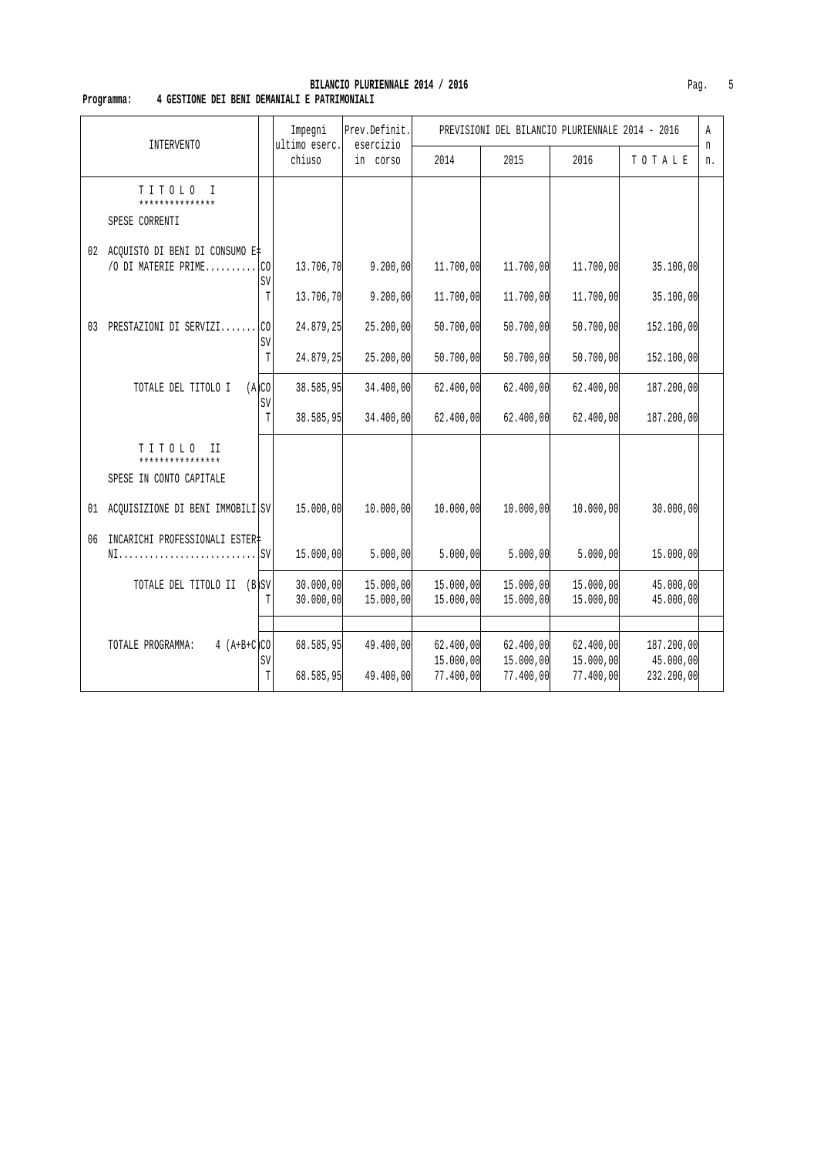#### **BILANCIO PLURIENNALE 2014 / 2016 Pag.** 5  **Programma: 4 GESTIONE DEI BENI DEMANIALI E PATRIMONIALI**

| <b>INTERVENTO</b>                                           |               |                                     | Impegni<br>ultimo eserc. | Prev.Definit.<br>esercizio |                                     | PREVISIONI DEL BILANCIO PLURIENNALE 2014 - 2016 |                                     |                                       | Α       |
|-------------------------------------------------------------|---------------|-------------------------------------|--------------------------|----------------------------|-------------------------------------|-------------------------------------------------|-------------------------------------|---------------------------------------|---------|
|                                                             |               |                                     | chiuso                   | in corso                   | 2014                                | 2015                                            | 2016                                | TOTALE                                | n<br>n. |
| TITOLO<br>$\mathbb{I}$<br>***************<br>SPESE CORRENTI |               |                                     |                          |                            |                                     |                                                 |                                     |                                       |         |
| 02 ACQUISTO DI BENI DI CONSUMO E‡<br>/O DI MATERIE PRIME    |               | l.co<br>SV<br>$\mathbb T$           | 13.706,70<br>13.706,70   | 9.200,00<br>9.200,00       | 11.700,00<br>11.700,00              | 11,700,00<br>11.700,00                          | 11.700,00<br>11.700,00              | 35.100,00<br>35.100,00                |         |
| PRESTAZIONI DI SERVIZI<br>03                                |               | C <sub>0</sub><br>SV<br>$\mathbb T$ | 24.879,25<br>24.879,25   | 25.200,00<br>25.200,00     | 50.700,00<br>50.700,00              | 50.700,00<br>50.700,00                          | 50.700,00<br>50.700,00              | 152.100,00<br>152,100,00              |         |
| TOTALE DEL TITOLO I                                         | (A)CO         | SV<br>T                             | 38.585,95<br>38.585,95   | 34.400,00<br>34.400,00     | 62.400,00<br>62.400,00              | 62.400,00<br>62.400,00                          | 62.400,00<br>62.400,00              | 187.200,00<br>187.200,00              |         |
| TITOLO<br>H<br>****************<br>SPESE IN CONTO CAPITALE  |               |                                     |                          |                            |                                     |                                                 |                                     |                                       |         |
| ACQUISIZIONE DI BENI IMMOBILI SV<br>01                      |               |                                     | 15.000,00                | 10.000,00                  | 10.000,00                           | 10.000,00                                       | 10.000,00                           | 30.000,00                             |         |
| INCARICHI PROFESSIONALI ESTER‡<br>06                        |               |                                     | 15.000,00                | 5.000,00                   | 5.000,00                            | 5.000,00                                        | 5.000,00                            | 15.000,00                             |         |
| TOTALE DEL TITOLO II (B)SV                                  |               |                                     | 30.000,00<br>30.000,00   | 15.000,00<br>15.000,00     | 15.000,00<br>15.000,00              | 15.000,00<br>15.000,00                          | 15.000,00<br>15.000,00              | 45.000,00<br>45.000,00                |         |
| TOTALE PROGRAMMA:                                           | $4 (A+B+C)CO$ | SV<br>$\mathbb T$                   | 68.585,95<br>68.585,95   | 49.400,00<br>49.400,00     | 62.400,00<br>15.000,00<br>77.400,00 | 62.400,00<br>15.000,00<br>77.400,00             | 62.400,00<br>15.000,00<br>77.400,00 | 187.200,00<br>45.000,00<br>232.200,00 |         |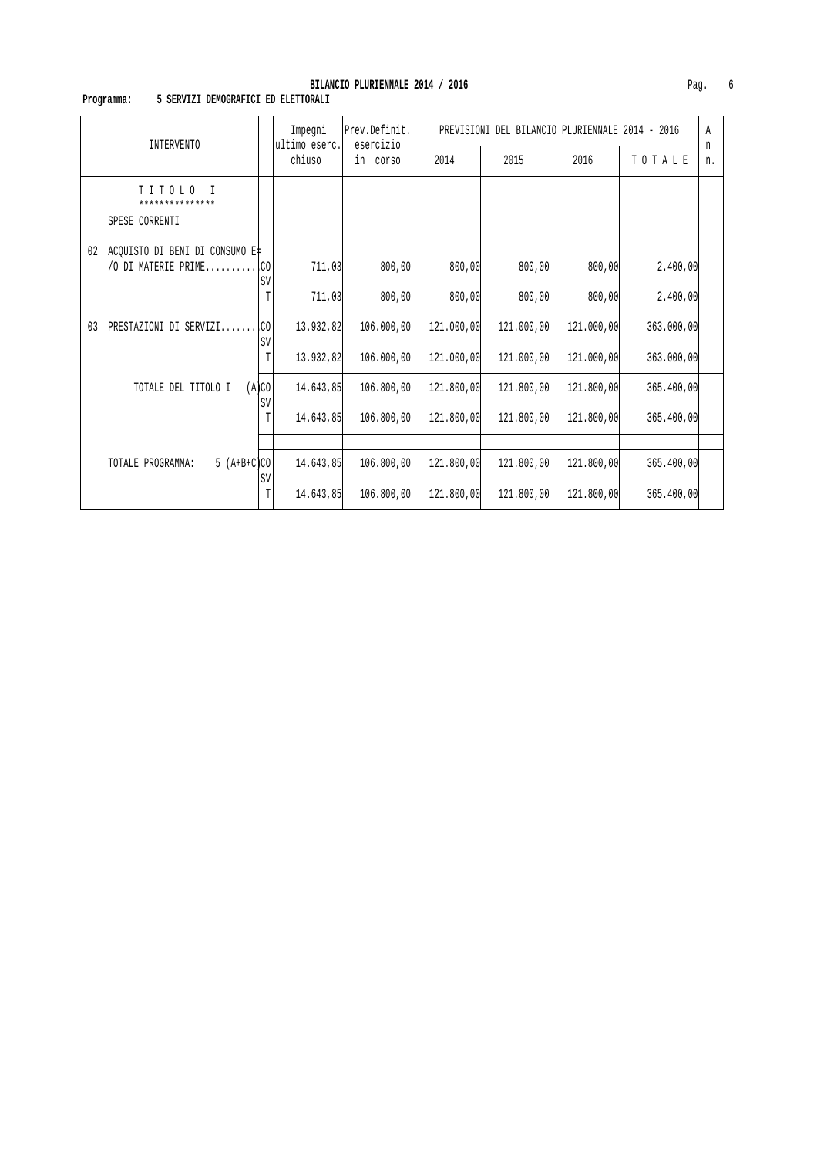# **Programma: 5 SERVIZI DEMOGRAFICI ED ELETTORALI**

|                                                       |             | Impegni                 | Prev.Definit.         | DEL BILANCIO PLURIENNALE 2014 - 2016<br>PREVISIONI |            |            |            |         |
|-------------------------------------------------------|-------------|-------------------------|-----------------------|----------------------------------------------------|------------|------------|------------|---------|
| <b>INTERVENTO</b>                                     |             | ultimo eserc.<br>chiuso | esercizio<br>in corso | 2014                                               | 2015       | 2016       | TOTALE     | n<br>n. |
| TITOLO<br>$\top$<br>***************<br>SPESE CORRENTI |             |                         |                       |                                                    |            |            |            |         |
| ACQUISTO DI BENI DI CONSUMO E‡<br>02                  |             |                         |                       |                                                    |            |            |            |         |
| /O DI MATERIE PRIME CO                                | <b>SV</b>   | 711,03                  | 800,00                | 800,00                                             | 800,00     | 800,00     | 2.400,00   |         |
|                                                       | T           | 711,03                  | 800,00                | 800,00                                             | 800,00     | 800,00     | 2.400,00   |         |
| 03<br>PRESTAZIONI DI SERVIZI                          | I.co<br>SV  | 13.932,82               | 106.000,00            | 121.000,00                                         | 121,000,00 | 121.000,00 | 363.000,00 |         |
|                                                       | T           | 13.932,82               | 106.000,00            | 121.000,00                                         | 121,000,00 | 121.000,00 | 363.000,00 |         |
| TOTALE DEL TITOLO I                                   | (A)CO<br>SV | 14.643,85               | 106.800,00            | 121.800,00                                         | 121.800,00 | 121.800,00 | 365.400,00 |         |
|                                                       | T           | 14.643,85               | 106.800,00            | 121.800,00                                         | 121.800,00 | 121.800,00 | 365.400,00 |         |
|                                                       |             |                         |                       |                                                    |            |            |            |         |
| $5 (A+B+C)CO$<br>TOTALE PROGRAMMA:                    |             | 14.643,85               | 106.800,00            | 121.800,00                                         | 121.800,00 | 121.800,00 | 365.400,00 |         |
|                                                       | SV<br>T     | 14.643.85               | 106.800,00            | 121.800,00                                         | 121,800,00 | 121.800,00 | 365.400,00 |         |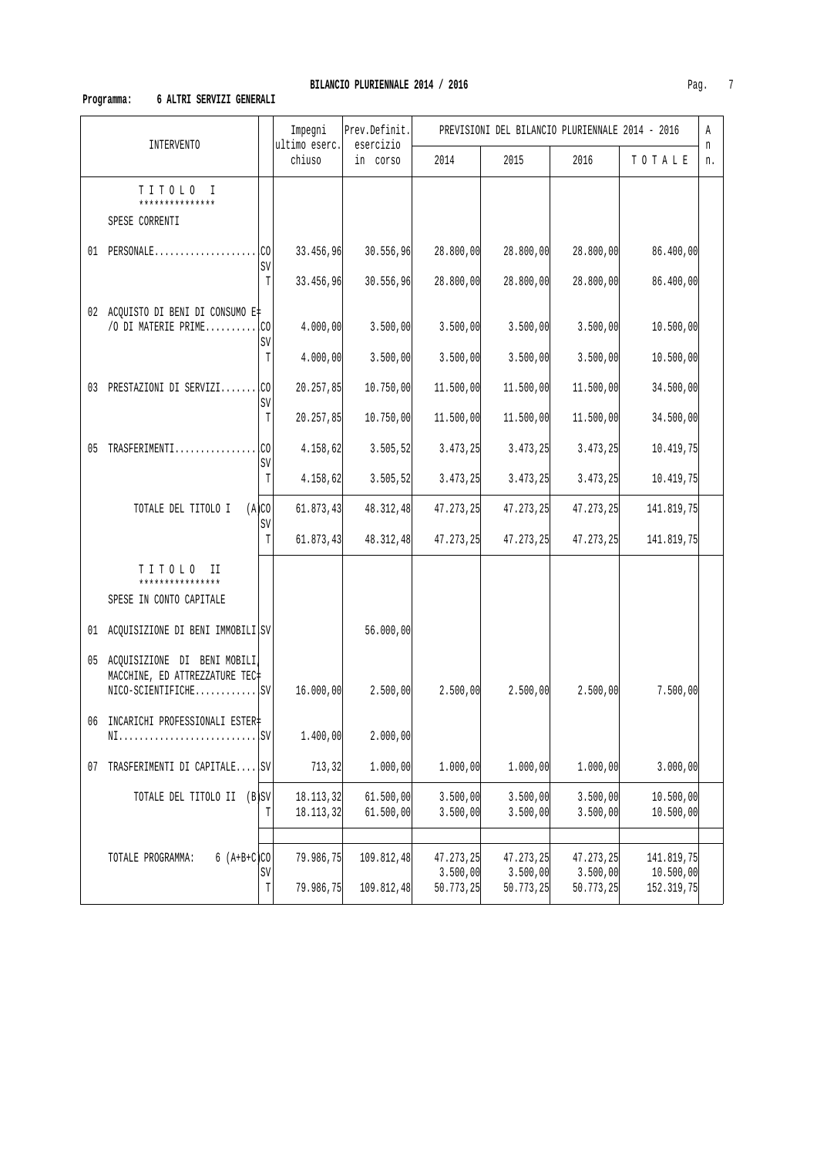# **Programma: 6 ALTRI SERVIZI GENERALI**

|                                                                  |             | Impegni<br>ultimo eserc. | Prev.Definit.<br>esercizio |                       | PREVISIONI DEL BILANCIO PLURIENNALE 2014 - 2016 |                       |                         | Α       |
|------------------------------------------------------------------|-------------|--------------------------|----------------------------|-----------------------|-------------------------------------------------|-----------------------|-------------------------|---------|
| INTERVENTO                                                       |             | chiuso                   | in corso                   | 2014                  | 2015                                            | 2016                  | TOTALE                  | n<br>n. |
| TITOLO I<br>***************<br>SPESE CORRENTI                    |             |                          |                            |                       |                                                 |                       |                         |         |
| 01 PERSONALE                                                     | .CO<br>SV   | 33.456,96                | 30.556,96                  | 28.800,00             | 28.800,00                                       | 28.800,00             | 86.400,00               |         |
|                                                                  | $\mathbb T$ | 33.456,96                | 30.556,96                  | 28.800,00             | 28.800,00                                       | 28.800,00             | 86.400,00               |         |
| 02 ACQUISTO DI BENI DI CONSUMO E‡<br>/O DI MATERIE PRIME $ CO $  | SV          | 4.000,00                 | 3.500,00                   | 3.500,00              | 3.500,00                                        | 3.500,00              | 10.500,00               |         |
|                                                                  | T           | 4.000,00                 | 3.500,00                   | 3.500,00              | 3.500,00                                        | 3.500,00              | 10.500,00               |         |
| 03 PRESTAZIONI DI SERVIZI CO                                     | SV          | 20.257,85                | 10.750,00                  | 11.500,00             | 11.500,00                                       | 11.500,00             | 34.500,00               |         |
|                                                                  | T           | 20.257,85                | 10.750,00                  | 11.500,00             | 11.500,00                                       | 11.500,00             | 34.500,00               |         |
| 05 TRASFERIMENTI                                                 | l.co<br>SV  | 4.158,62                 | 3.505, 52                  | 3.473,25              | 3.473, 25                                       | 3.473,25              | 10.419,75               |         |
|                                                                  | T           | 4.158,62                 | 3.505, 52                  | 3.473, 25             | 3.473, 25                                       | 3.473,25              | 10.419,75               |         |
| TOTALE DEL TITOLO I                                              | (A)CO<br>SV | 61.873,43                | 48.312,48                  | 47.273,25             | 47.273,25                                       | 47.273,25             | 141.819,75              |         |
|                                                                  | T           | 61.873,43                | 48.312,48                  | 47.273,25             | 47.273,25                                       | 47.273,25             | 141.819,75              |         |
| TITOLO<br>H<br>****************<br>SPESE IN CONTO CAPITALE       |             |                          |                            |                       |                                                 |                       |                         |         |
| 01 ACQUISIZIONE DI BENI IMMOBILI SV                              |             |                          | 56.000,00                  |                       |                                                 |                       |                         |         |
| 05 ACQUISIZIONE DI BENI MOBILI<br>MACCHINE, ED ATTREZZATURE TEC# |             | 16.000,00                | 2.500,00                   | 2.500,00              | 2.500,00                                        | 2.500,00              | 7.500,00                |         |
| 06 INCARICHI PROFESSIONALI ESTER‡                                |             | 1.400,00                 | 2.000,00                   |                       |                                                 |                       |                         |         |
| TRASFERIMENTI DI CAPITALE SV<br>07                               |             | 713, 32                  | 1.000,00                   | 1.000,00              | 1.000,00                                        | 1.000,00              | 3.000,00                |         |
| TOTALE DEL TITOLO II (B)SV                                       | T           | 18.113,32<br>18.113,32   | 61.500,00<br>61.500,00     | 3.500,00<br>3.500,00  | 3.500,00<br>3.500,00                            | 3.500,00<br>3.500,00  | 10.500,00<br>10.500,00  |         |
| $6 (A+B+C)CO$<br>TOTALE PROGRAMMA:                               | SV          | 79.986,75                | 109.812,48                 | 47.273,25<br>3.500,00 | 47.273,25<br>3.500,00                           | 47.273,25<br>3.500,00 | 141.819,75              |         |
|                                                                  | T           | 79.986,75                | 109.812,48                 | 50.773,25             | 50.773, 25                                      | 50.773,25             | 10.500,00<br>152.319,75 |         |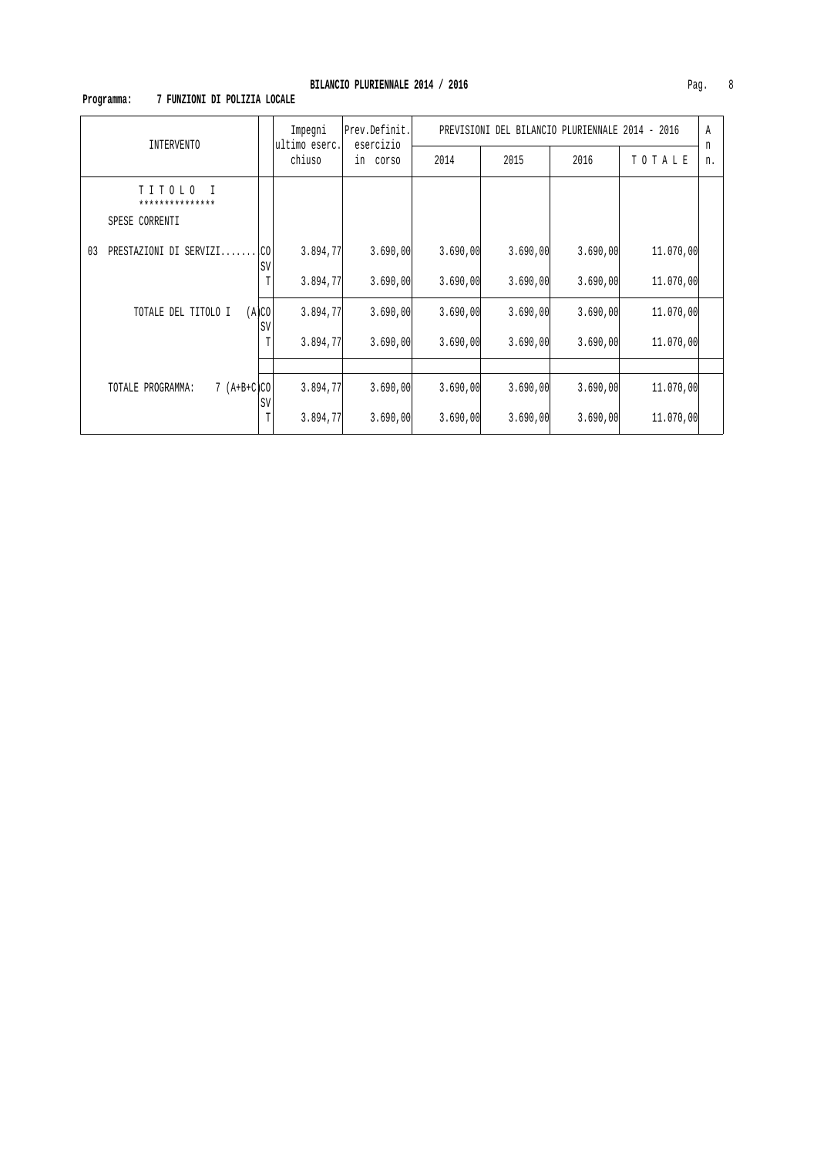# **Programma: 7 FUNZIONI DI POLIZIA LOCALE**

| INTERVENTO                                    |             | Impegni<br>ultimo eserc. | Prev.Definit.<br>esercizio | PREVISIONI DEL BILANCIO PLURIENNALE 2014 - 2016 |          |          |           |         |
|-----------------------------------------------|-------------|--------------------------|----------------------------|-------------------------------------------------|----------|----------|-----------|---------|
|                                               |             | chiuso                   | in corso                   | 2014                                            | 2015     | 2016     | TOTALE    | n<br>n. |
| TITOLO I<br>***************<br>SPESE CORRENTI |             |                          |                            |                                                 |          |          |           |         |
| PRESTAZIONI DI SERVIZI<br>03                  | .co<br>SV   | 3.894,77                 | 3.690,00                   | 3.690,00                                        | 3.690,00 | 3.690,00 | 11,070,00 |         |
|                                               | T           | 3.894,77                 | 3.690,00                   | 3.690,00                                        | 3.690,00 | 3.690,00 | 11,070,00 |         |
| TOTALE DEL TITOLO I                           | (A)CO<br>SV | 3.894,77                 | 3.690,00                   | 3.690,00                                        | 3.690,00 | 3.690,00 | 11,070,00 |         |
|                                               |             | 3.894,77                 | 3.690,00                   | 3.690,00                                        | 3.690,00 | 3.690,00 | 11,070,00 |         |
|                                               |             |                          |                            |                                                 |          |          |           |         |
| $7 (A+B+C)CO$<br>TOTALE PROGRAMMA:            | SV          | 3.894,77                 | 3.690,00                   | 3.690,00                                        | 3.690,00 | 3.690,00 | 11,070,00 |         |
|                                               | Т           | 3.894,77                 | 3.690,00                   | 3.690,00                                        | 3.690,00 | 3.690,00 | 11,070,00 |         |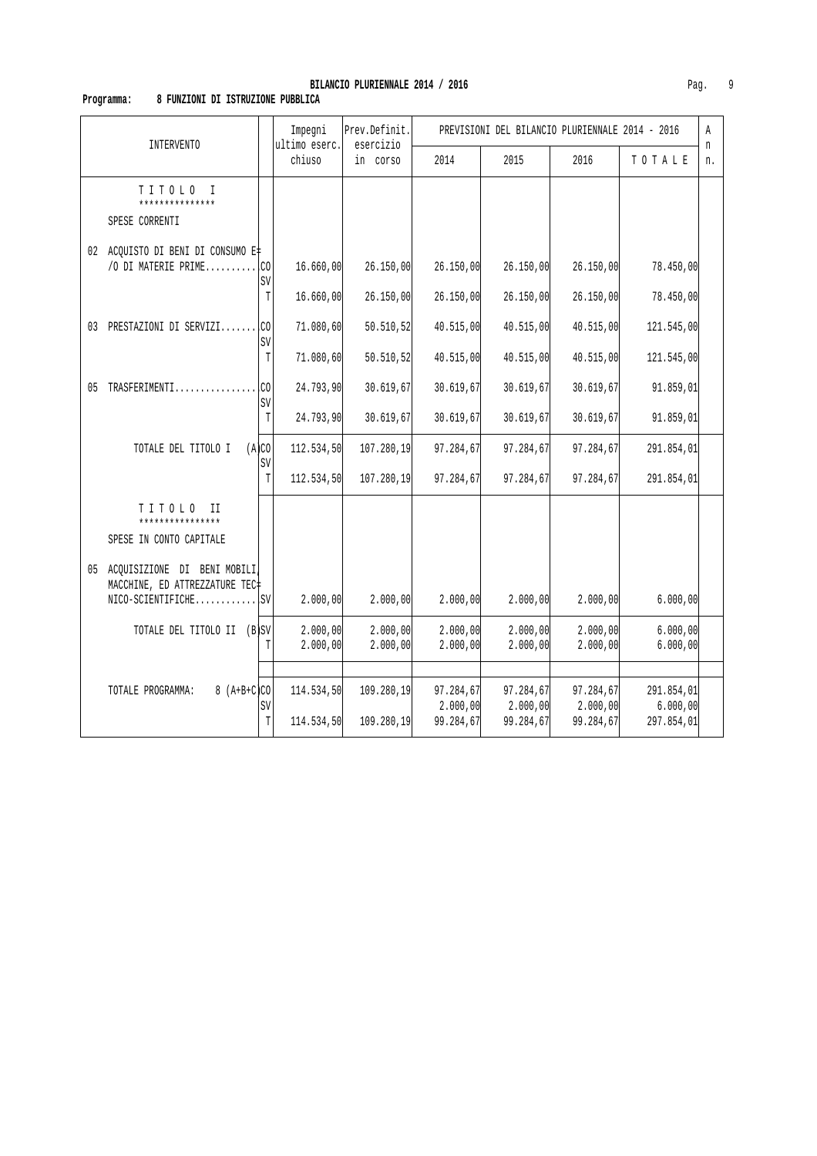### **Programma: 8 FUNZIONI DI ISTRUZIONE PUBBLICA**

|    | INTERVENTO                                                       |             | Impegni<br>ultimo eserc. | Prev.Definit.<br>esercizio |                       | PREVISIONI DEL BILANCIO PLURIENNALE 2014 - 2016 |                       |                        | A<br>n |
|----|------------------------------------------------------------------|-------------|--------------------------|----------------------------|-----------------------|-------------------------------------------------|-----------------------|------------------------|--------|
|    |                                                                  |             | chiuso                   | in corso                   | 2014                  | 2015                                            | 2016                  | TOTALE                 | n.     |
|    | TITOLO I<br>***************<br>SPESE CORRENTI                    |             |                          |                            |                       |                                                 |                       |                        |        |
|    | 02 ACQUISTO DI BENI DI CONSUMO E#<br>/O DI MATERIE PRIME         | .co<br>SV   | 16.660,00                | 26.150,00                  | 26.150,00             | 26.150,00                                       | 26.150,00             | 78.450,00              |        |
|    |                                                                  | T           | 16.660,00                | 26.150,00                  | 26.150,00             | 26.150,00                                       | 26.150,00             | 78.450,00              |        |
|    | 03 PRESTAZIONI DI SERVIZI                                        | lco<br>SV   | 71.080,60                | 50.510, 52                 | 40.515,00             | 40.515,00                                       | 40.515,00             | 121.545,00             |        |
|    |                                                                  | $\mathbb T$ | 71.080,60                | 50.510, 52                 | 40.515,00             | 40.515,00                                       | 40.515,00             | 121.545,00             |        |
| 05 | TRASFERIMENTI                                                    | .CO<br>SV   | 24.793,90                | 30.619,67                  | 30.619,67             | 30.619,67                                       | 30.619,67             | 91.859,01              |        |
|    |                                                                  | $\mathbb T$ | 24.793,90                | 30.619,67                  | 30.619,67             | 30.619,67                                       | 30.619,67             | 91.859,01              |        |
|    | TOTALE DEL TITOLO I                                              | (A)CO<br>SV | 112.534,50               | 107.280,19                 | 97.284,67             | 97.284,67                                       | 97.284,67             | 291.854,01             |        |
|    |                                                                  | T           | 112.534,50               | 107.280,19                 | 97.284,67             | 97.284,67                                       | 97.284,67             | 291.854,01             |        |
|    | TITOLO<br>TT.<br>****************<br>SPESE IN CONTO CAPITALE     |             |                          |                            |                       |                                                 |                       |                        |        |
|    | 05 ACQUISIZIONE DI BENI MOBILI<br>MACCHINE, ED ATTREZZATURE TEC+ |             |                          |                            |                       |                                                 |                       |                        |        |
|    | $NICO-SCIENTIFICHE$                                              |             | 2.000,00                 | 2.000,00                   | 2.000,00              | 2.000,00                                        | 2.000,00              | 6.000,00               |        |
|    | TOTALE DEL TITOLO II (B SV                                       | T           | 2.000,00<br>2.000,00     | 2.000,00<br>2.000,00       | 2.000,00<br>2.000,00  | 2.000,00<br>2.000,00                            | 2.000,00<br>2.000,00  | 6.000,00<br>6.000,00   |        |
|    |                                                                  |             |                          |                            |                       |                                                 |                       |                        |        |
|    | $8 (A+B+C)CO$<br>TOTALE PROGRAMMA:                               | SV          | 114.534,50               | 109.280,19                 | 97.284,67<br>2.000,00 | 97.284,67<br>2.000,00                           | 97.284,67<br>2.000,00 | 291.854,01<br>6.000,00 |        |
|    |                                                                  | T           | 114.534,50               | 109.280,19                 | 99.284,67             | 99.284,67                                       | 99.284,67             | 297.854,01             |        |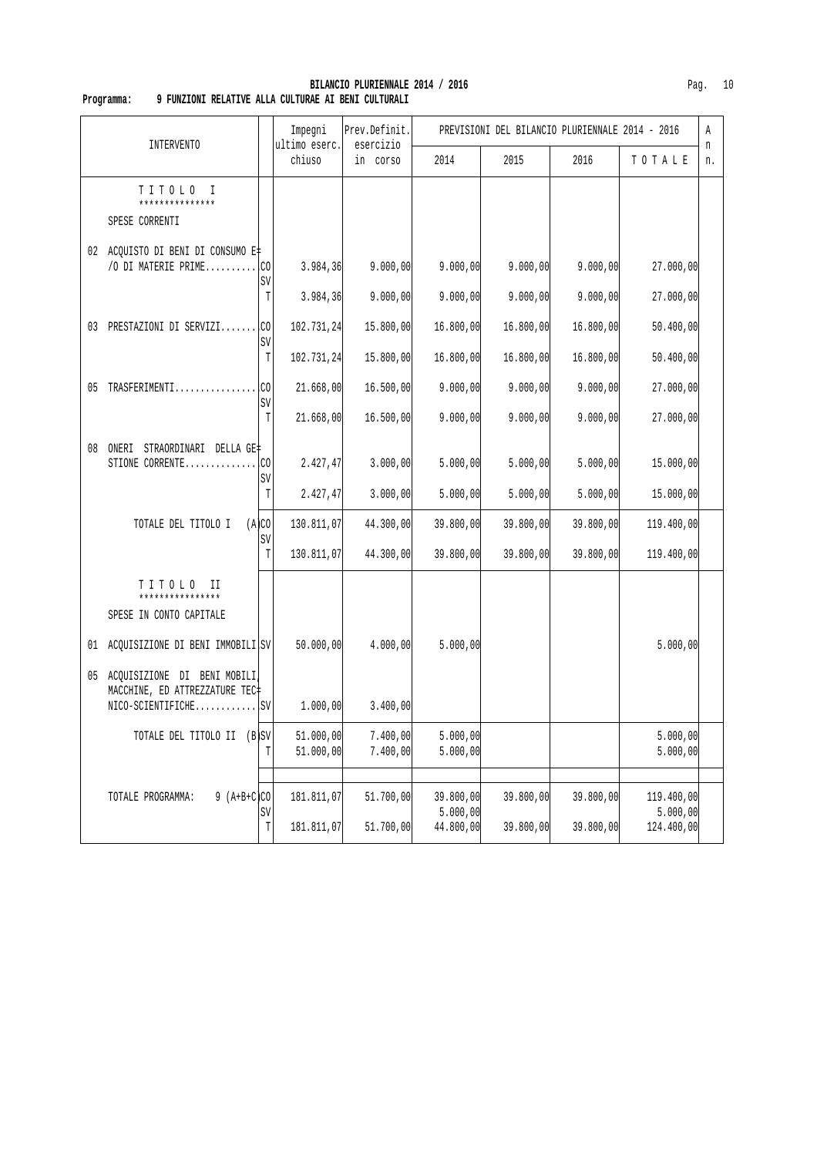## **BILANCIO PLURIENNALE 2014 / 2016** Pag. 10  **Programma: 9 FUNZIONI RELATIVE ALLA CULTURAE AI BENI CULTURALI**

|    |                                                                                         |                 | Impegni                  | Prev.Definit.<br>esercizio |                                    | PREVISIONI DEL BILANCIO PLURIENNALE 2014 - 2016 |                        |                                      | Α       |
|----|-----------------------------------------------------------------------------------------|-----------------|--------------------------|----------------------------|------------------------------------|-------------------------------------------------|------------------------|--------------------------------------|---------|
|    | INTERVENTO                                                                              |                 | ultimo eserc.<br>chiuso  | in corso                   | 2014                               | 2015                                            | 2016                   | TOTALE                               | n<br>n. |
|    | TITOLO I<br>***************<br>SPESE CORRENTI                                           |                 |                          |                            |                                    |                                                 |                        |                                      |         |
|    | 02 ACQUISTO DI BENI DI CONSUMO E‡<br>/O DI MATERIE PRIME $\Box$ CO                      | SV              | 3.984, 36                | 9.000,00                   | 9.000,00                           | 9.000,00                                        | 9.000,00               | 27.000,00                            |         |
|    | 03 PRESTAZIONI DI SERVIZI                                                               | T<br>l.CO<br>SV | 3.984,36<br>102.731,24   | 9.000,00<br>15.800,00      | 9.000,00<br>16.800,00              | 9.000,00<br>16.800,00                           | 9.000,00<br>16.800,00  | 27.000,00<br>50.400,00               |         |
|    |                                                                                         | $\mathbb T$     | 102.731,24               | 15.800,00                  | 16.800,00                          | 16.800,00                                       | 16.800,00              | 50.400,00                            |         |
|    | 05 TRASFERIMENTI                                                                        | .CO<br>SV       | 21.668,00                | 16.500,00                  | 9.000,00                           | 9.000,00                                        | 9.000,00               | 27.000,00                            |         |
|    |                                                                                         | T               | 21.668,00                | 16.500,00                  | 9.000,00                           | 9.000,00                                        | 9.000,00               | 27.000,00                            |         |
| 08 | ONERI STRAORDINARI DELLA GE‡<br>STIONE CORRENTE                                         | .CO             | 2.427, 47                | 3.000, 00                  | 5.000,00                           | 5.000,00                                        | 5.000,00               | 15.000,00                            |         |
|    |                                                                                         | SV<br>T         | 2.427,47                 | 3.000, 00                  | 5.000,00                           | 5.000,00                                        | 5.000,00               | 15.000,00                            |         |
|    | TOTALE DEL TITOLO I                                                                     | (A)CO<br>SV     | 130.811,07               | 44.300,00                  | 39.800,00                          | 39.800,00                                       | 39.800,00              | 119.400,00                           |         |
|    |                                                                                         | $\mathbb T$     | 130.811,07               | 44.300,00                  | 39.800,00                          | 39.800,00                                       | 39.800,00              | 119.400,00                           |         |
|    | TITOLO II<br>****************<br>SPESE IN CONTO CAPITALE                                |                 |                          |                            |                                    |                                                 |                        |                                      |         |
|    | 01 ACQUISIZIONE DI BENI IMMOBILI SV                                                     |                 | 50.000,00                | 4.000,00                   | 5.000,00                           |                                                 |                        | 5.000,00                             |         |
|    | 05 ACQUISIZIONE DI BENI MOBILI<br>MACCHINE, ED ATTREZZATURE TEC#<br>$NICO-SCIENTIFICHE$ |                 | 1.000,00                 | 3.400,00                   |                                    |                                                 |                        |                                      |         |
|    | TOTALE DEL TITOLO II (B)SV                                                              | T               | 51.000,00<br>51.000,00   | 7.400,00<br>7.400,00       | 5.000,00<br>5.000,00               |                                                 |                        | 5.000,00<br>5.000,00                 |         |
|    | $9 (A+B+C)CO$<br>TOTALE PROGRAMMA:                                                      | SV<br>T         | 181.811,07<br>181.811,07 | 51.700,00<br>51.700,00     | 39.800,00<br>5.000,00<br>44.800,00 | 39.800,00<br>39.800,00                          | 39.800,00<br>39.800,00 | 119.400,00<br>5.000,00<br>124.400,00 |         |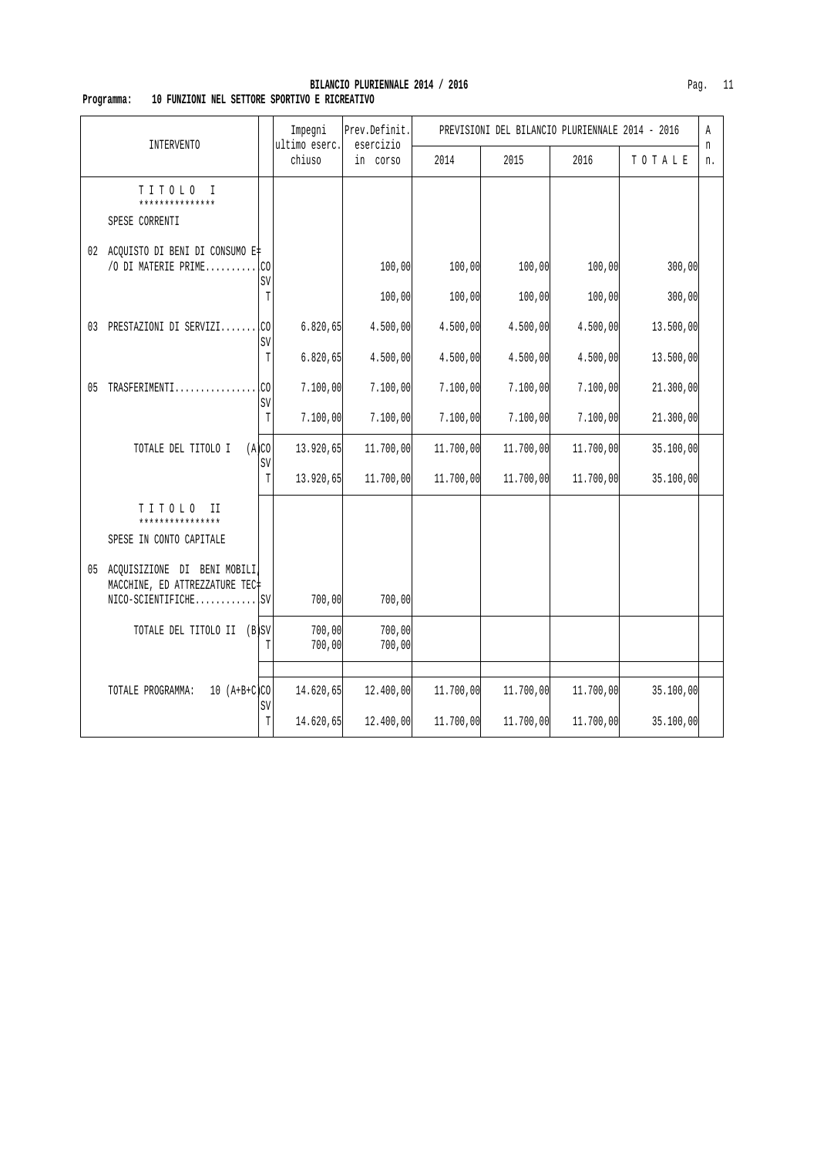#### **BILANCIO PLURIENNALE 2014 / 2016** Pag. 11  **Programma: 10 FUNZIONI NEL SETTORE SPORTIVO E RICREATIVO**

| <b>INTERVENTO</b>                                                                       |           | Impegni<br>ultimo eserc. | Prev.Definit.<br>esercizio |           | PREVISIONI DEL BILANCIO PLURIENNALE 2014 - 2016 |           |           | Α       |
|-----------------------------------------------------------------------------------------|-----------|--------------------------|----------------------------|-----------|-------------------------------------------------|-----------|-----------|---------|
|                                                                                         |           | chiuso                   | in corso                   | 2014      | 2015                                            | 2016      | TOTALE    | n<br>n. |
| TITOLO<br>$\mathbb{I}$<br>***************<br>SPESE CORRENTI                             |           |                          |                            |           |                                                 |           |           |         |
| 02 ACQUISTO DI BENI DI CONSUMO E#<br>/O DI MATERIE PRIME                                | .co<br>SV |                          | 100,00                     | 100,00    | 100,00                                          | 100,00    | 300,00    |         |
|                                                                                         | T         |                          | 100,00                     | 100,00    | 100,00                                          | 100,00    | 300,00    |         |
| 03 PRESTAZIONI DI SERVIZI                                                               | lco<br>SV | 6.820, 65                | 4.500,00                   | 4.500,00  | 4.500,00                                        | 4.500,00  | 13.500,00 |         |
|                                                                                         | T         | 6.820, 65                | 4.500,00                   | 4.500,00  | 4.500,00                                        | 4.500,00  | 13.500,00 |         |
| 05 TRASFERIMENTI                                                                        | .co       | 7.100,00                 | 7.100,00                   | 7.100,00  | 7.100,00                                        | 7.100,00  | 21.300,00 |         |
|                                                                                         | SV<br>T   | 7.100,00                 | 7.100,00                   | 7.100,00  | 7.100,00                                        | 7.100,00  | 21.300,00 |         |
| TOTALE DEL TITOLO I                                                                     | (A)CO     | 13.920,65                | 11.700,00                  | 11.700,00 | 11.700,00                                       | 11.700,00 | 35.100,00 |         |
|                                                                                         | SV<br>T   | 13.920,65                | 11.700,00                  | 11.700,00 | 11.700,00                                       | 11.700,00 | 35.100,00 |         |
| TITOLO<br>$_{\rm II}$<br>****************<br>SPESE IN CONTO CAPITALE                    |           |                          |                            |           |                                                 |           |           |         |
| 05 ACQUISIZIONE DI BENI MOBILI<br>MACCHINE, ED ATTREZZATURE TEC+<br>$NICO-SCIENTIFICHE$ |           | 700,00                   | 700,00                     |           |                                                 |           |           |         |
| TOTALE DEL TITOLO II (B)SV                                                              | T         | 700,00<br>700,00         | 700,00<br>700,00           |           |                                                 |           |           |         |
| $10 (A+B+C)CO$<br>TOTALE PROGRAMMA:                                                     | SV        | 14.620,65                | 12.400,00                  | 11.700,00 | 11.700,00                                       | 11.700,00 | 35.100,00 |         |
|                                                                                         | T         | 14.620,65                | 12.400,00                  | 11.700,00 | 11.700,00                                       | 11.700,00 | 35.100,00 |         |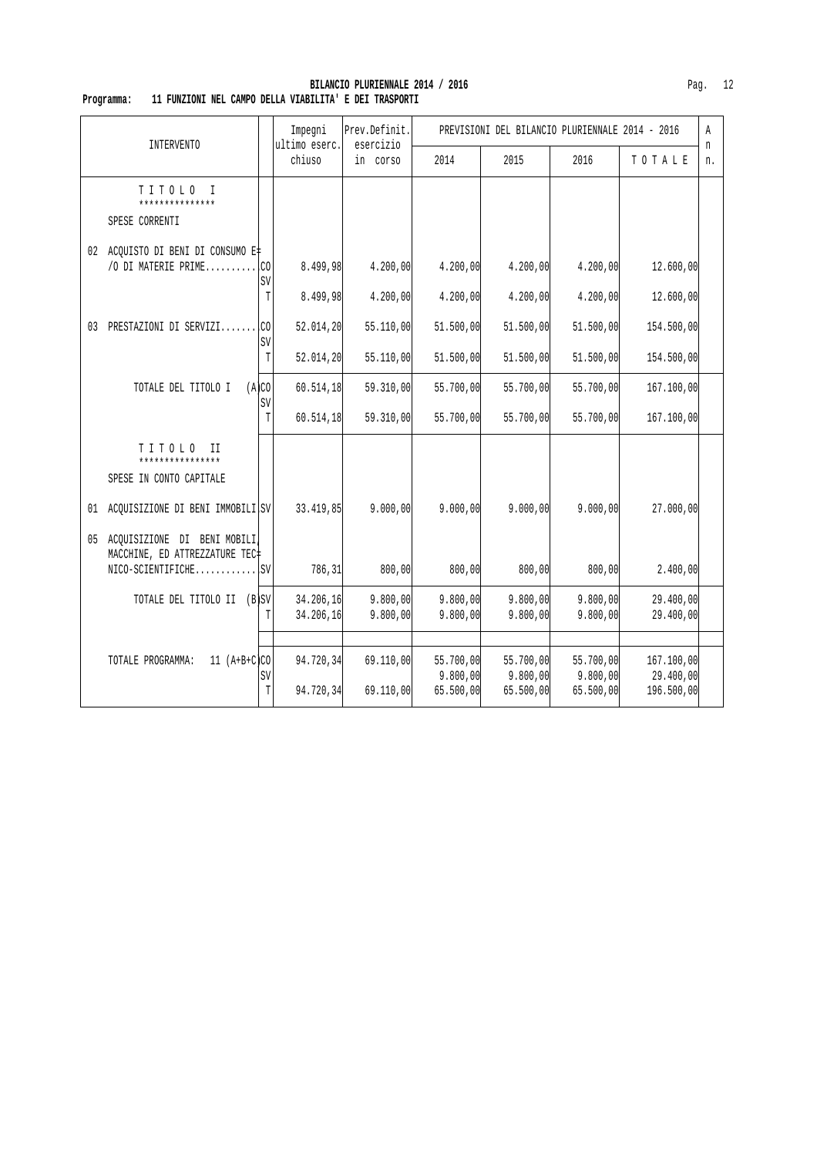| INTERVENTO                                                                              |             | Impegni<br>ultimo eserc. | Prev.Definit.<br>esercizio |                                    | PREVISIONI DEL BILANCIO PLURIENNALE 2014 - 2016 |                                    |                                       | Α<br>n |
|-----------------------------------------------------------------------------------------|-------------|--------------------------|----------------------------|------------------------------------|-------------------------------------------------|------------------------------------|---------------------------------------|--------|
|                                                                                         |             | chiuso                   | in corso                   | 2014                               | 2015                                            | 2016                               | TOTALE                                | n.     |
| TITOLO I<br>***************<br>SPESE CORRENTI                                           |             |                          |                            |                                    |                                                 |                                    |                                       |        |
| 02 ACQUISTO DI BENI DI CONSUMO E‡<br>/O DI MATERIE PRIMECO                              | SV          | 8.499,98                 | 4.200,00                   | 4.200,00                           | 4.200,00                                        | 4.200,00                           | 12.600,00                             |        |
|                                                                                         | T           | 8.499,98                 | 4.200,00                   | 4.200,00                           | 4.200,00                                        | 4.200,00                           | 12.600,00                             |        |
| 03 PRESTAZIONI DI SERVIZI CO                                                            | SV          | 52.014, 20               | 55.110,00                  | 51.500,00                          | 51.500,00                                       | 51.500,00                          | 154.500,00                            |        |
|                                                                                         | $\mathbb T$ | 52.014,20                | 55.110,00                  | 51.500,00                          | 51.500,00                                       | 51.500,00                          | 154.500,00                            |        |
| TOTALE DEL TITOLO I                                                                     | (A)CO       | 60.514,18                | 59.310,00                  | 55.700,00                          | 55.700,00                                       | 55.700,00                          | 167.100,00                            |        |
|                                                                                         | SV<br>T     | 60.514,18                | 59.310,00                  | 55.700,00                          | 55.700,00                                       | 55.700,00                          | 167.100,00                            |        |
| TITOLO II<br>****************<br>SPESE IN CONTO CAPITALE                                |             |                          |                            |                                    |                                                 |                                    |                                       |        |
| 01 ACQUISIZIONE DI BENI IMMOBILI SV                                                     |             | 33.419,85                | 9.000,00                   | 9.000,00                           | 9.000,00                                        | 9.000,00                           | 27.000,00                             |        |
| 05 ACQUISIZIONE DI BENI MOBILI<br>MACCHINE, ED ATTREZZATURE TEC+<br>$NICO-SCIENTIFICHE$ |             | 786, 31                  | 800,00                     | 800,00                             | 800,00                                          | 800,00                             | 2.400,00                              |        |
| TOTALE DEL TITOLO II (B)SV                                                              |             | 34.206,16                | 9.800,00                   | 9.800,00                           | 9.800,00                                        | 9.800,00                           | 29.400,00                             |        |
|                                                                                         | $\mathbb T$ | 34.206,16                | 9.800,00                   | 9.800,00                           | 9.800,00                                        | 9.800,00                           | 29.400,00                             |        |
|                                                                                         |             |                          |                            |                                    |                                                 |                                    |                                       |        |
| $11 (A+B+C)CO$<br>TOTALE PROGRAMMA:                                                     | SV<br>T     | 94.720,34<br>94.720,34   | 69.110,00<br>69.110,00     | 55.700,00<br>9.800,00<br>65.500,00 | 55.700,00<br>9.800,00<br>65.500,00              | 55.700,00<br>9.800,00<br>65.500,00 | 167.100,00<br>29.400,00<br>196.500,00 |        |

#### **BILANCIO PLURIENNALE 2014 / 2016** Pag. 12  **Programma: 11 FUNZIONI NEL CAMPO DELLA VIABILITA' E DEI TRASPORTI**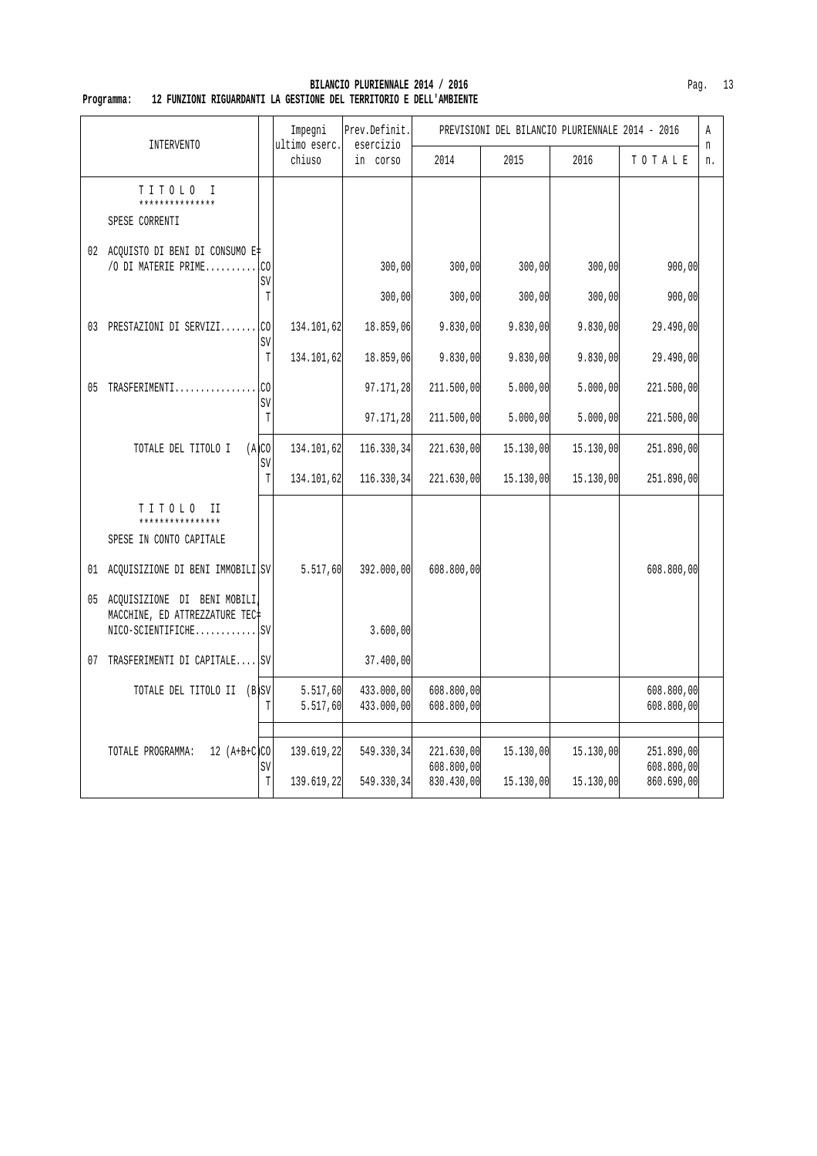| INTERVENTO |                                                                  |                   | Impegni<br>ultimo eserc. | Prev.Definit.<br>esercizio |                                        | PREVISIONI DEL BILANCIO PLURIENNALE 2014 - 2016 |                        |                                        |          |
|------------|------------------------------------------------------------------|-------------------|--------------------------|----------------------------|----------------------------------------|-------------------------------------------------|------------------------|----------------------------------------|----------|
|            |                                                                  |                   | chiuso                   | in corso                   | 2014                                   | 2015                                            | 2016                   | TOTALE                                 | 'n<br>n. |
|            | TITOLO I<br>***************<br>SPESE CORRENTI                    |                   |                          |                            |                                        |                                                 |                        |                                        |          |
|            | 02 ACQUISTO DI BENI DI CONSUMO E‡<br>/O DI MATERIE PRIME $ CO $  | SV                |                          | 300,00                     | 300,00                                 | 300,00                                          | 300,00                 | 900,00                                 |          |
|            | 03 PRESTAZIONI DI SERVIZI CO                                     | $\mathbb T$<br>SV | 134.101,62               | 300,00<br>18.859,06        | 300,00<br>9.830,00                     | 300,00<br>9.830,00                              | 300,00<br>9.830,00     | 900,00<br>29.490,00                    |          |
|            |                                                                  | $\mathbb T$       | 134.101,62               | 18.859,06                  | 9.830,00                               | 9.830,00                                        | 9.830,00               | 29.490,00                              |          |
|            | 05 TRASFERIMENTI                                                 | LCO.<br>SV        |                          | 97.171,28                  | 211.500,00                             | 5.000,00                                        | 5.000,00               | 221.500,00                             |          |
|            |                                                                  | $\mathbb T$       |                          | 97.171,28                  | 211.500,00                             | 5.000,00                                        | 5.000,00               | 221.500,00                             |          |
|            | TOTALE DEL TITOLO I                                              | (A)CO<br>SV       | 134.101,62               | 116.330,34                 | 221.630,00                             | 15.130,00                                       | 15.130,00              | 251.890,00                             |          |
|            |                                                                  | T                 | 134.101,62               | 116.330,34                 | 221.630,00                             | 15.130,00                                       | 15.130,00              | 251.890,00                             |          |
|            | TITOLO II<br>****************<br>SPESE IN CONTO CAPITALE         |                   |                          |                            |                                        |                                                 |                        |                                        |          |
|            | 01 ACQUISIZIONE DI BENI IMMOBILI SV                              |                   | 5.517,60                 | 392.000,00                 | 608.800,00                             |                                                 |                        | 608.800,00                             |          |
|            | 05 ACQUISIZIONE DI BENI MOBILI<br>MACCHINE, ED ATTREZZATURE TEC+ |                   |                          | 3.600,00                   |                                        |                                                 |                        |                                        |          |
|            | 07 TRASFERIMENTI DI CAPITALE SV                                  |                   |                          | 37.400,00                  |                                        |                                                 |                        |                                        |          |
|            | TOTALE DEL TITOLO II (B)SV                                       | T                 | 5.517,60<br>5.517,60     | 433.000,00<br>433.000,00   | 608.800,00<br>608.800,00               |                                                 |                        | 608.800,00<br>608.800,00               |          |
|            | $12 (A+B+C)CO$<br>TOTALE PROGRAMMA:                              | SV<br>$\mathbb T$ | 139.619,22<br>139.619,22 | 549.330,34<br>549.330,34   | 221.630,00<br>608.800,00<br>830.430,00 | 15.130,00<br>15.130,00                          | 15.130,00<br>15.130,00 | 251.890,00<br>608.800,00<br>860.690,00 |          |

#### **BILANCIO PLURIENNALE 2014 / 2016** Pag. 13  **Programma: 12 FUNZIONI RIGUARDANTI LA GESTIONE DEL TERRITORIO E DELL'AMBIENTE**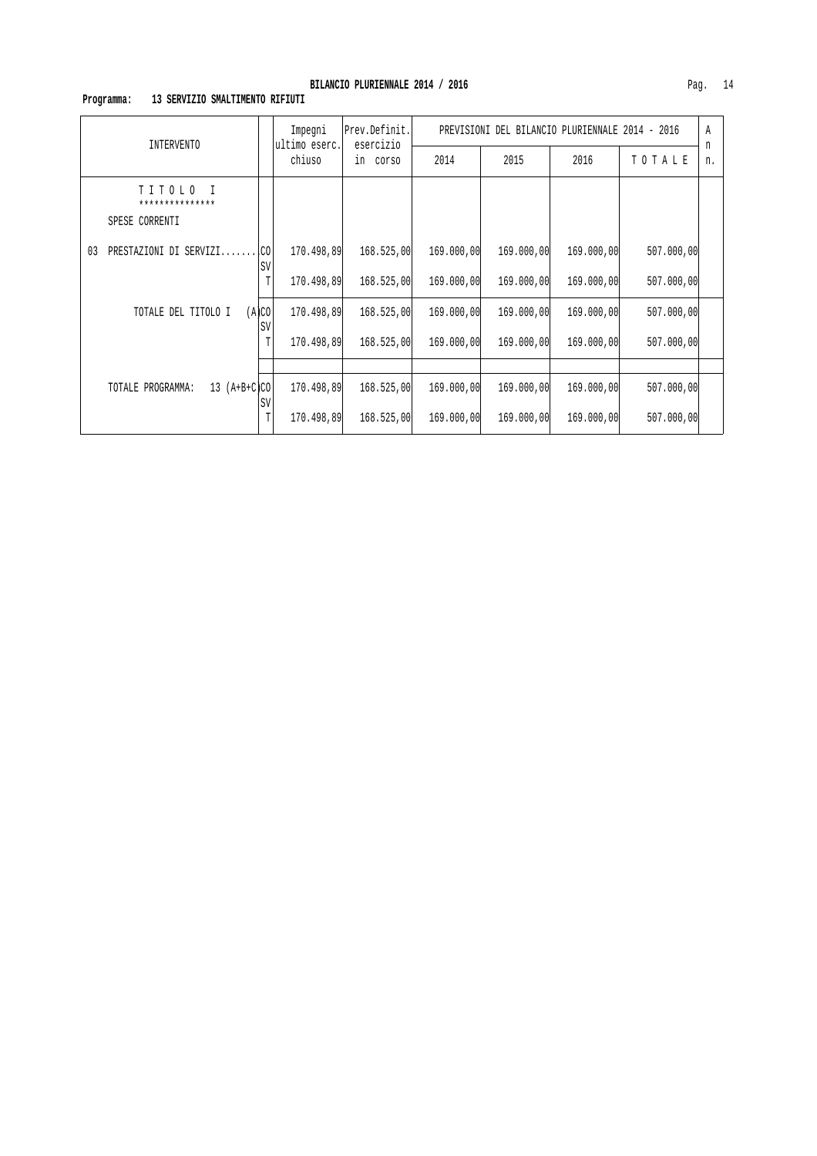# **Programma: 13 SERVIZIO SMALTIMENTO RIFIUTI**

| INTERVENTO                                    |             | Impegni<br>ultimo eserc. | Prev.Definit.<br>esercizio<br>in corso | PREVISIONI DEL BILANCIO PLURIENNALE 2014 - 2016 |            |            |            |         |
|-----------------------------------------------|-------------|--------------------------|----------------------------------------|-------------------------------------------------|------------|------------|------------|---------|
|                                               |             | chiuso                   |                                        | 2014                                            | 2015       | 2016       | TOTALE     | n<br>n. |
| TITOLO I<br>***************<br>SPESE CORRENTI |             |                          |                                        |                                                 |            |            |            |         |
| PRESTAZIONI DI SERVIZI<br>03                  | I.CO<br>SV  | 170.498,89               | 168.525,00                             | 169,000,00                                      | 169.000,00 | 169.000,00 | 507.000,00 |         |
|                                               | T           | 170.498,89               | 168.525,00                             | 169.000,00                                      | 169.000,00 | 169.000,00 | 507.000,00 |         |
| TOTALE DEL TITOLO I                           | (A)CO<br>SV | 170.498,89               | 168.525,00                             | 169.000,00                                      | 169.000,00 | 169.000,00 | 507.000,00 |         |
|                                               | T           | 170.498,89               | 168.525,00                             | 169.000,00                                      | 169.000,00 | 169.000,00 | 507.000,00 |         |
|                                               |             |                          |                                        |                                                 |            |            |            |         |
| 13 $(A+B+C)CO$<br>TOTALE PROGRAMMA:           | SV          | 170.498,89               | 168.525,00                             | 169,000,00                                      | 169.000,00 | 169.000,00 | 507.000,00 |         |
|                                               | T           | 170.498,89               | 168.525,00                             | 169,000,00                                      | 169.000,00 | 169.000,00 | 507.000,00 |         |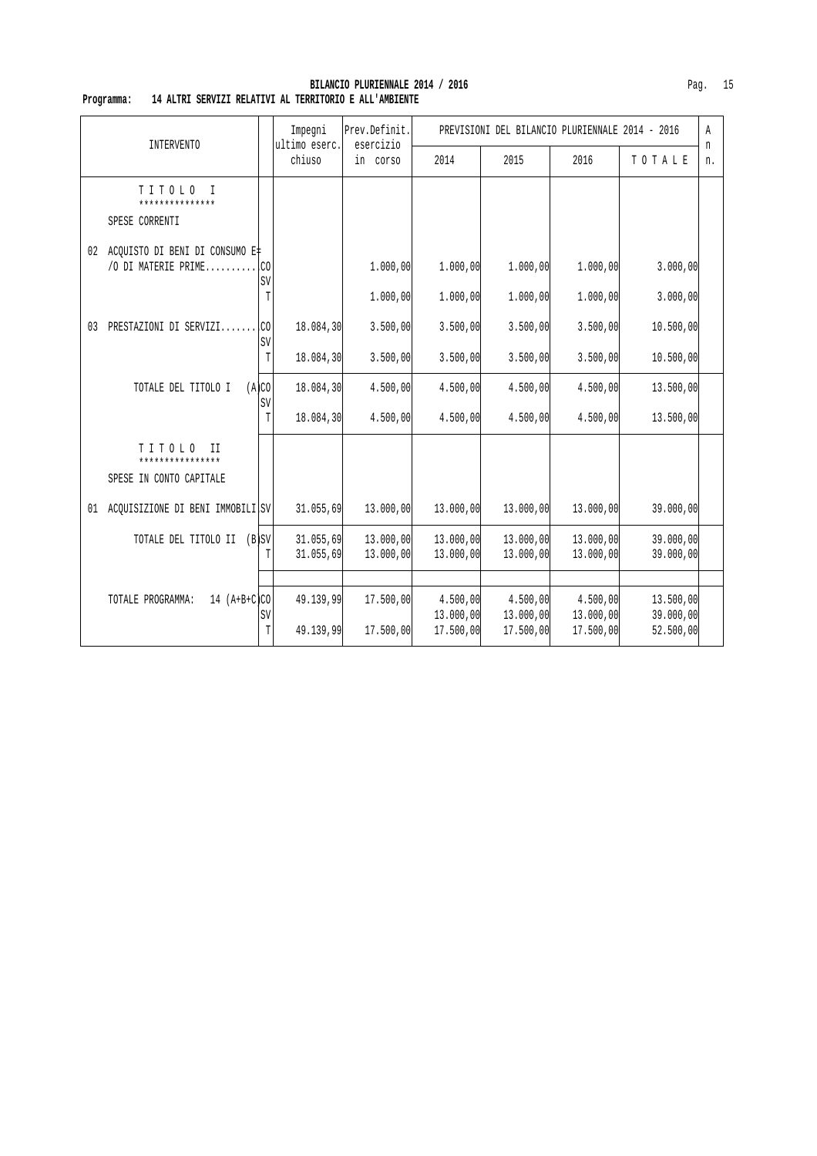|--|--|

| <b>INTERVENTO</b> |                                                             |                                 | Impegni<br>Prev.Definit.            |                                  | PREVISIONI DEL BILANCIO PLURIENNALE 2014 - 2016 |                                    |                                    |                                     |         |
|-------------------|-------------------------------------------------------------|---------------------------------|-------------------------------------|----------------------------------|-------------------------------------------------|------------------------------------|------------------------------------|-------------------------------------|---------|
|                   |                                                             |                                 | ultimo eserc.<br>chiuso             | esercizio<br>in corso            | 2014                                            | 2015                               | 2016                               | TOTALE                              | n<br>n. |
|                   | TITOLO<br>$\top$<br>***************<br>SPESE CORRENTI       |                                 |                                     |                                  |                                                 |                                    |                                    |                                     |         |
| 02                | ACQUISTO DI BENI DI CONSUMO E‡<br>/O DI MATERIE PRIME       | .co<br>SV<br>T                  |                                     | 1.000,00<br>1.000,00             | 1,000,00<br>1.000,00                            | 1.000,00<br>1.000,00               | 1.000,00<br>1.000,00               | 3.000,00<br>3.000,00                |         |
| 03                | PRESTAZIONI DI SERVIZI                                      | .CO<br>SV                       | 18.084,30                           | 3.500,00                         | 3.500,00                                        | 3.500,00                           | 3.500,00                           | 10.500,00                           |         |
|                   | TOTALE DEL TITOLO I                                         | T<br>(A)CO<br>SV<br>$\mathbb T$ | 18.084,30<br>18.084,30<br>18.084,30 | 3.500,00<br>4.500,00<br>4.500,00 | 3.500,00<br>4.500,00<br>4.500,00                | 3.500,00<br>4.500,00<br>4.500,00   | 3.500,00<br>4.500,00<br>4.500,00   | 10.500,00<br>13.500,00<br>13.500,00 |         |
|                   | TITOLO<br>II<br>****************<br>SPESE IN CONTO CAPITALE |                                 |                                     |                                  |                                                 |                                    |                                    |                                     |         |
| 01                | ACQUISIZIONE DI BENI IMMOBILI SV                            |                                 | 31.055,69                           | 13.000,00                        | 13.000,00                                       | 13.000,00                          | 13.000,00                          | 39.000,00                           |         |
|                   | TOTALE DEL TITOLO II (B)SV                                  | T                               | 31.055,69<br>31.055,69              | 13.000,00<br>13.000,00           | 13.000,00<br>13.000,00                          | 13.000,00<br>13.000,00             | 13.000,00<br>13.000,00             | 39.000,00<br>39.000,00              |         |
|                   | $14 (A+B+C)CO$<br>TOTALE PROGRAMMA:                         | SV<br>T                         | 49.139,99<br>49.139,99              | 17.500,00<br>17.500,00           | 4.500,00<br>13.000,00<br>17.500,00              | 4.500,00<br>13.000,00<br>17.500,00 | 4.500,00<br>13.000,00<br>17.500,00 | 13.500,00<br>39.000,00<br>52.500,00 |         |

#### **BILANCIO PLURIENNALE 2014 / 2016 Programma: 14 ALTRI SERVIZI RELATIVI AL TERRITORIO E ALL'AMBIENTE**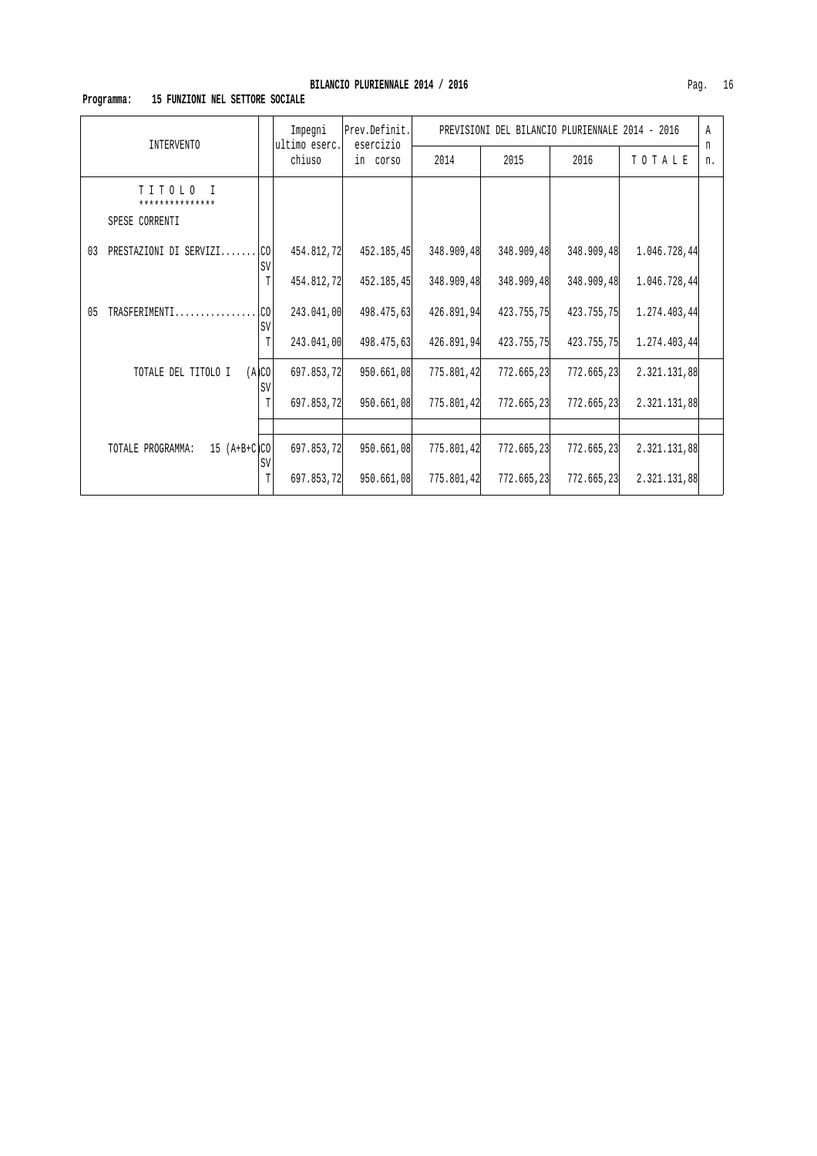# **Programma: 15 FUNZIONI NEL SETTORE SOCIALE**

| <b>INTERVENTO</b>                             |                  | Impegni<br>ultimo eserc. | Prev.Definit.<br>esercizio<br>in corso | PREVISIONI DEL BILANCIO PLURIENNALE 2014 - 2016 |            |            |              |         |
|-----------------------------------------------|------------------|--------------------------|----------------------------------------|-------------------------------------------------|------------|------------|--------------|---------|
|                                               |                  | chiuso                   |                                        | 2014                                            | 2015       | 2016       | TOTALE       | n<br>n. |
| TITOLO I<br>***************<br>SPESE CORRENTI |                  |                          |                                        |                                                 |            |            |              |         |
| 03<br>PRESTAZIONI DI SERVIZI                  | $\cdot$ CO<br>SV | 454.812,72               | 452.185,45                             | 348.909,48                                      | 348.909,48 | 348.909,48 | 1.046.728,44 |         |
|                                               | T                | 454.812,72               | 452.185,45                             | 348.909,48                                      | 348.909,48 | 348.909,48 | 1.046.728,44 |         |
| 05<br>TRASFERIMENTI                           | .co<br><b>SV</b> | 243.041,00               | 498.475,63                             | 426.891,94                                      | 423.755,75 | 423.755,75 | 1.274.403,44 |         |
|                                               | T                | 243.041,00               | 498.475,63                             | 426.891,94                                      | 423.755,75 | 423.755,75 | 1.274.403,44 |         |
| TOTALE DEL TITOLO I                           | (A)CO<br>SV      | 697.853,72               | 950.661,08                             | 775.801,42                                      | 772.665,23 | 772.665,23 | 2.321.131,88 |         |
|                                               | T                | 697.853,72               | 950.661,08                             | 775.801,42                                      | 772.665,23 | 772.665,23 | 2.321.131,88 |         |
|                                               |                  |                          |                                        |                                                 |            |            |              |         |
| $15 (A+B+C)CO$<br>TOTALE PROGRAMMA:           | SV               | 697.853,72               | 950.661,08                             | 775.801,42                                      | 772.665,23 | 772.665,23 | 2.321.131,88 |         |
|                                               | T                | 697.853,72               | 950.661,08                             | 775.801,42                                      | 772.665,23 | 772.665,23 | 2.321.131,88 |         |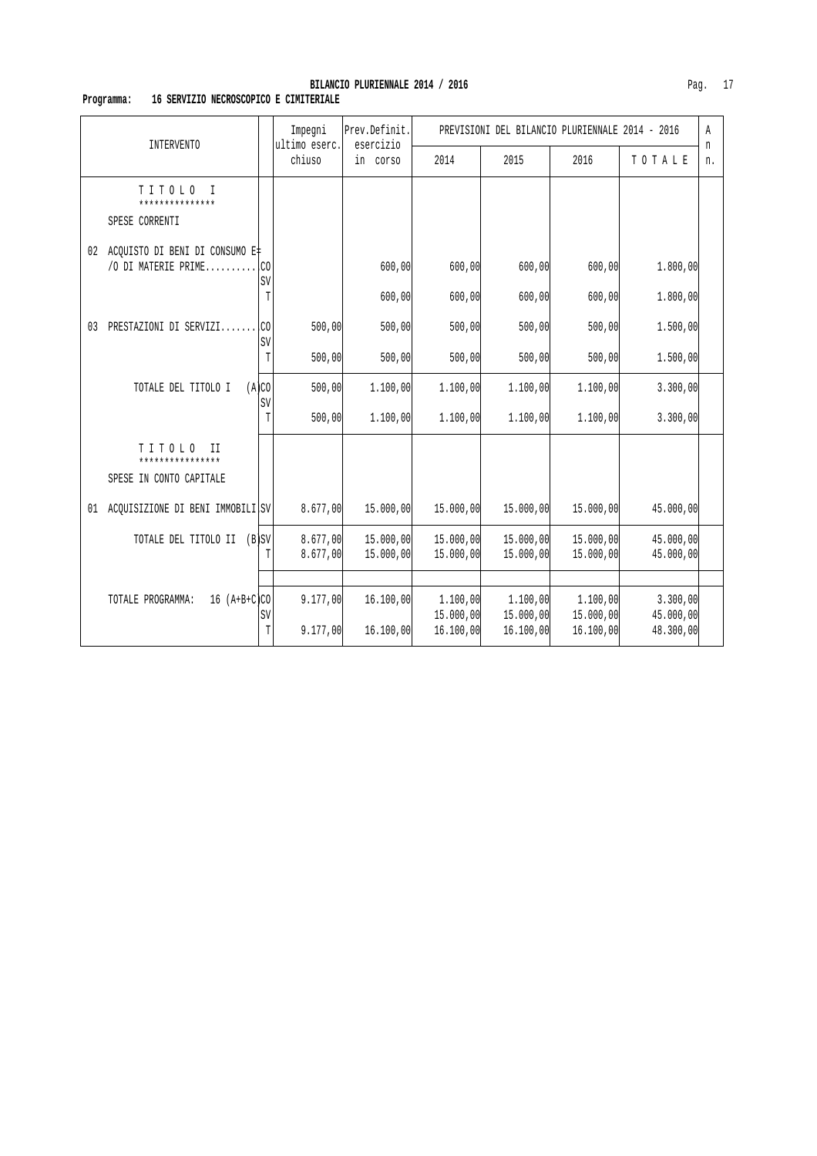# **Programma: 16 SERVIZIO NECROSCOPICO E CIMITERIALE**

| <b>INTERVENTO</b> |                                                            |             | Impegni<br>ultimo eserc. | Prev.Definit.<br>esercizio | PREVISIONI DEL BILANCIO PLURIENNALE 2014 - 2016 |                                    |                                    |                                    | Α       |
|-------------------|------------------------------------------------------------|-------------|--------------------------|----------------------------|-------------------------------------------------|------------------------------------|------------------------------------|------------------------------------|---------|
|                   |                                                            |             | chiuso                   | in corso                   | 2014                                            | 2015                               | 2016                               | TOTALE                             | n<br>n. |
|                   | TITOLO<br>$\top$<br>***************<br>SPESE CORRENTI      |             |                          |                            |                                                 |                                    |                                    |                                    |         |
| 02                | ACQUISTO DI BENI DI CONSUMO E‡<br>/O DI MATERIE PRIME      | .CO<br>SV   |                          | 600,00                     | 600,00                                          | 600,00                             | 600,00                             | 1.800,00                           |         |
|                   |                                                            | $\mathbb T$ |                          | 600,00                     | 600,00                                          | 600,00                             | 600,00                             | 1.800,00                           |         |
| 03                | PRESTAZIONI DI SERVIZI                                     | .CO         | 500,00                   | 500,00                     | 500,00                                          | 500,00                             | 500,00                             | 1.500,00                           |         |
|                   |                                                            | SV<br>T     | 500,00                   | 500,00                     | 500,00                                          | 500,00                             | 500,00                             | 1.500,00                           |         |
|                   | TOTALE DEL TITOLO I                                        | (A)CO<br>SV | 500,00                   | 1,100,00                   | 1,100,00                                        | 1.100,00                           | 1,100,00                           | 3.300,00                           |         |
|                   |                                                            | T           | 500,00                   | 1.100,00                   | 1.100,00                                        | 1.100,00                           | 1.100,00                           | 3.300,00                           |         |
|                   | TITOLO<br>П<br>****************<br>SPESE IN CONTO CAPITALE |             |                          |                            |                                                 |                                    |                                    |                                    |         |
| 01                | ACOUISIZIONE DI BENI IMMOBILI SV                           |             | 8.677,00                 | 15.000,00                  | 15.000,00                                       | 15.000,00                          | 15.000,00                          | 45.000,00                          |         |
|                   | TOTALE DEL TITOLO II (B)SV                                 |             | 8.677,00<br>8.677,00     | 15.000,00<br>15.000,00     | 15.000,00<br>15.000,00                          | 15.000,00<br>15.000,00             | 15.000,00<br>15.000,00             | 45.000,00<br>45.000,00             |         |
|                   |                                                            |             |                          |                            |                                                 |                                    |                                    |                                    |         |
|                   | $16 (A+B+C)CO$<br>TOTALE PROGRAMMA:                        | SV<br>T     | 9.177,00<br>9.177,00     | 16.100,00<br>16.100,00     | 1.100,00<br>15.000,00<br>16.100,00              | 1.100,00<br>15.000,00<br>16.100,00 | 1.100,00<br>15.000,00<br>16.100,00 | 3.300,00<br>45.000,00<br>48.300,00 |         |
|                   |                                                            |             |                          |                            |                                                 |                                    |                                    |                                    |         |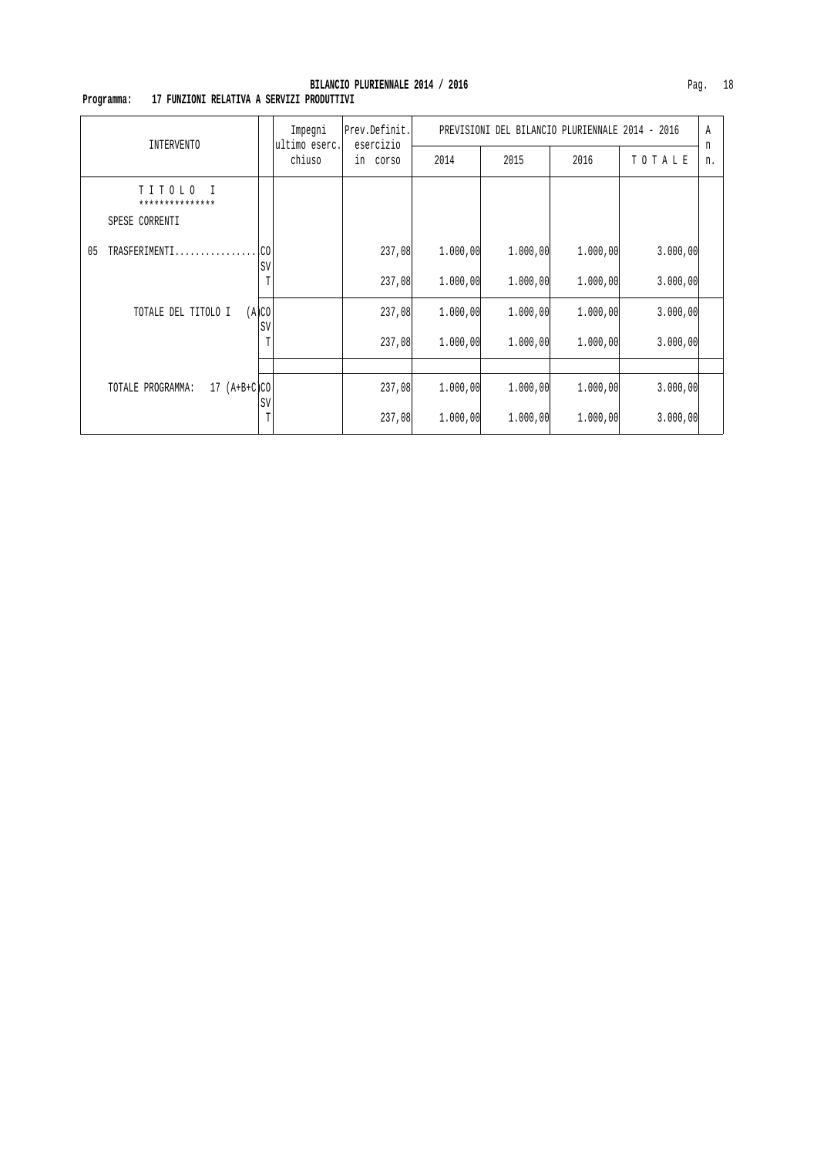# **Programma: 17 FUNZIONI RELATIVA A SERVIZI PRODUTTIVI**

| INTERVENTO                                            |             | Impegni<br>ultimo eserc.<br>chiuso | Prev.Definit.<br>esercizio<br>in corso | PREVISIONI DEL BILANCIO PLURIENNALE 2014 - 2016 |          |          |          |         |
|-------------------------------------------------------|-------------|------------------------------------|----------------------------------------|-------------------------------------------------|----------|----------|----------|---------|
|                                                       |             |                                    |                                        | 2014                                            | 2015     | 2016     | TOTALE   | n<br>n. |
| TITOLO<br>$\top$<br>***************<br>SPESE CORRENTI |             |                                    |                                        |                                                 |          |          |          |         |
| 05<br>TRASFERIMENTI                                   | SV          |                                    | 237,08                                 | 1.000,00                                        | 1.000,00 | 1.000,00 | 3.000,00 |         |
|                                                       | T           |                                    | 237,08                                 | 1.000,00                                        | 1.000,00 | 1.000,00 | 3.000,00 |         |
| TOTALE DEL TITOLO I                                   | (A)CO<br>SV |                                    | 237,08                                 | 1.000,00                                        | 1.000,00 | 1.000,00 | 3.000,00 |         |
|                                                       | T           |                                    | 237,08                                 | 1.000,00                                        | 1.000,00 | 1,000,00 | 3.000,00 |         |
|                                                       |             |                                    |                                        |                                                 |          |          |          |         |
| TOTALE PROGRAMMA:<br>$17 (A+B+C)CO$                   | SV          |                                    | 237,08                                 | 1.000,00                                        | 1.000,00 | 1.000,00 | 3.000,00 |         |
|                                                       | T           |                                    | 237,08                                 | 1.000,00                                        | 1.000,00 | 1.000,00 | 3.000,00 |         |